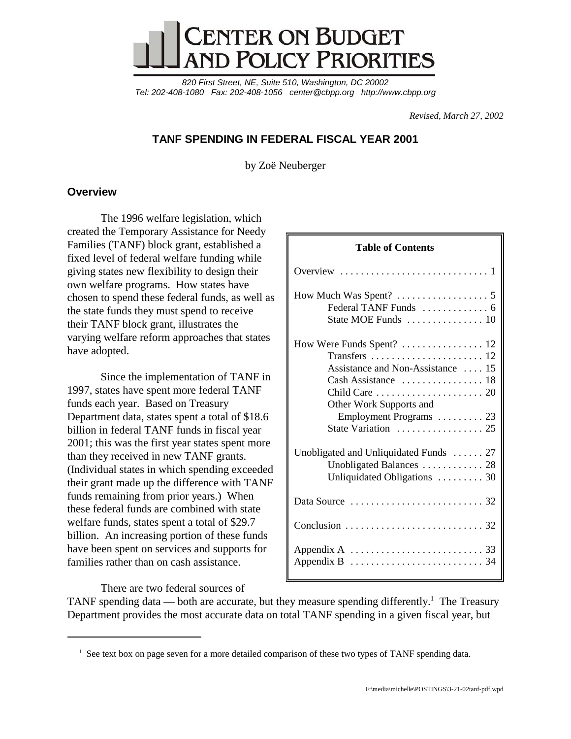

*820 First Street, NE, Suite 510, Washington, DC 20002 Tel: 202-408-1080 Fax: 202-408-1056 center@cbpp.org http://www.cbpp.org*

*Revised, March 27, 2002*

# **TANF SPENDING IN FEDERAL FISCAL YEAR 2001**

by Zoë Neuberger

# **Overview**

The 1996 welfare legislation, which created the Temporary Assistance for Needy Families (TANF) block grant, established a fixed level of federal welfare funding while giving states new flexibility to design their own welfare programs. How states have chosen to spend these federal funds, as well as the state funds they must spend to receive their TANF block grant, illustrates the varying welfare reform approaches that states have adopted.

Since the implementation of TANF in 1997, states have spent more federal TANF funds each year. Based on Treasury Department data, states spent a total of \$18.6 billion in federal TANF funds in fiscal year 2001; this was the first year states spent more than they received in new TANF grants. (Individual states in which spending exceeded their grant made up the difference with TANF funds remaining from prior years.) When these federal funds are combined with state welfare funds, states spent a total of \$29.7 billion. An increasing portion of these funds have been spent on services and supports for families rather than on cash assistance.

There are two federal sources of

TANF spending data — both are accurate, but they measure spending differently.<sup>1</sup> The Treasury Department provides the most accurate data on total TANF spending in a given fiscal year, but

<sup>&</sup>lt;sup>1</sup> See text box on page seven for a more detailed comparison of these two types of TANF spending data.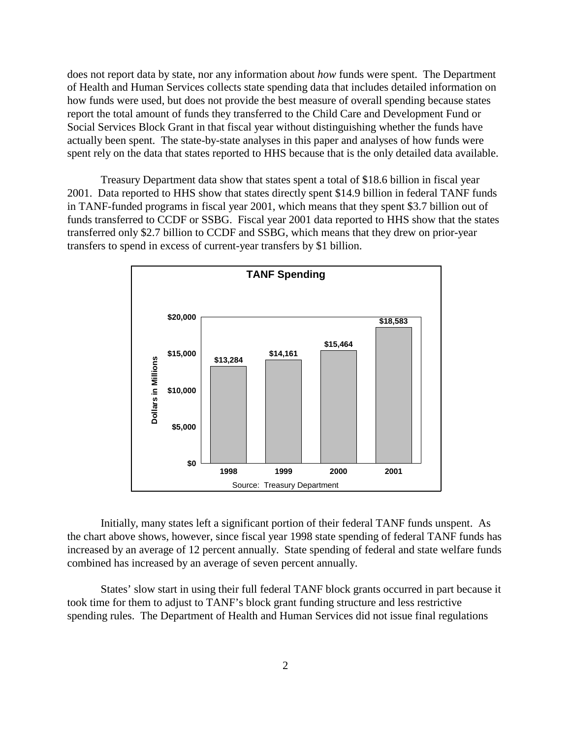does not report data by state, nor any information about *how* funds were spent. The Department of Health and Human Services collects state spending data that includes detailed information on how funds were used, but does not provide the best measure of overall spending because states report the total amount of funds they transferred to the Child Care and Development Fund or Social Services Block Grant in that fiscal year without distinguishing whether the funds have actually been spent. The state-by-state analyses in this paper and analyses of how funds were spent rely on the data that states reported to HHS because that is the only detailed data available.

Treasury Department data show that states spent a total of \$18.6 billion in fiscal year 2001. Data reported to HHS show that states directly spent \$14.9 billion in federal TANF funds in TANF-funded programs in fiscal year 2001, which means that they spent \$3.7 billion out of funds transferred to CCDF or SSBG. Fiscal year 2001 data reported to HHS show that the states transferred only \$2.7 billion to CCDF and SSBG, which means that they drew on prior-year transfers to spend in excess of current-year transfers by \$1 billion.



Initially, many states left a significant portion of their federal TANF funds unspent. As the chart above shows, however, since fiscal year 1998 state spending of federal TANF funds has increased by an average of 12 percent annually. State spending of federal and state welfare funds combined has increased by an average of seven percent annually.

States' slow start in using their full federal TANF block grants occurred in part because it took time for them to adjust to TANF's block grant funding structure and less restrictive spending rules. The Department of Health and Human Services did not issue final regulations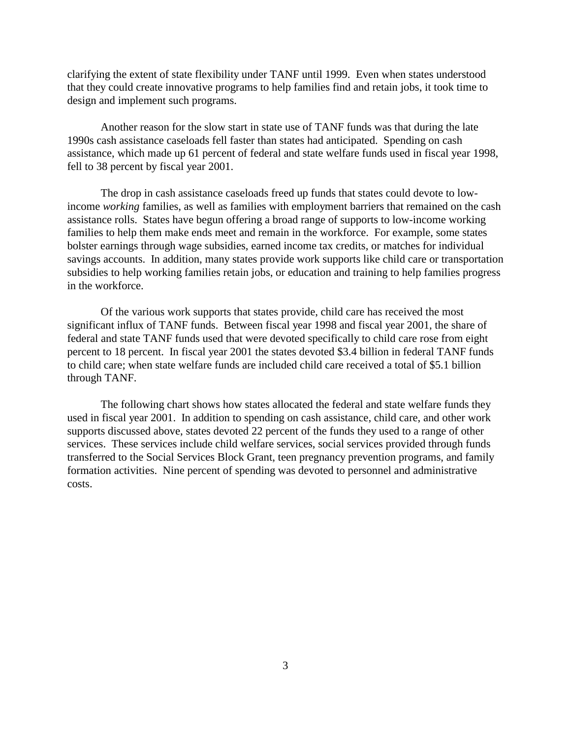clarifying the extent of state flexibility under TANF until 1999. Even when states understood that they could create innovative programs to help families find and retain jobs, it took time to design and implement such programs.

Another reason for the slow start in state use of TANF funds was that during the late 1990s cash assistance caseloads fell faster than states had anticipated. Spending on cash assistance, which made up 61 percent of federal and state welfare funds used in fiscal year 1998, fell to 38 percent by fiscal year 2001.

The drop in cash assistance caseloads freed up funds that states could devote to lowincome *working* families, as well as families with employment barriers that remained on the cash assistance rolls. States have begun offering a broad range of supports to low-income working families to help them make ends meet and remain in the workforce. For example, some states bolster earnings through wage subsidies, earned income tax credits, or matches for individual savings accounts. In addition, many states provide work supports like child care or transportation subsidies to help working families retain jobs, or education and training to help families progress in the workforce.

Of the various work supports that states provide, child care has received the most significant influx of TANF funds. Between fiscal year 1998 and fiscal year 2001, the share of federal and state TANF funds used that were devoted specifically to child care rose from eight percent to 18 percent. In fiscal year 2001 the states devoted \$3.4 billion in federal TANF funds to child care; when state welfare funds are included child care received a total of \$5.1 billion through TANF.

The following chart shows how states allocated the federal and state welfare funds they used in fiscal year 2001. In addition to spending on cash assistance, child care, and other work supports discussed above, states devoted 22 percent of the funds they used to a range of other services. These services include child welfare services, social services provided through funds transferred to the Social Services Block Grant, teen pregnancy prevention programs, and family formation activities. Nine percent of spending was devoted to personnel and administrative costs.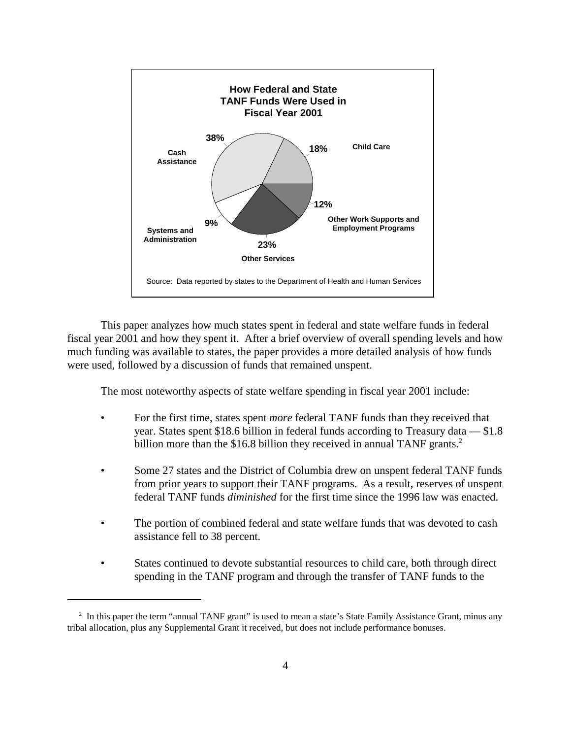

This paper analyzes how much states spent in federal and state welfare funds in federal fiscal year 2001 and how they spent it. After a brief overview of overall spending levels and how much funding was available to states, the paper provides a more detailed analysis of how funds were used, followed by a discussion of funds that remained unspent.

The most noteworthy aspects of state welfare spending in fiscal year 2001 include:

- For the first time, states spent *more* federal TANF funds than they received that year. States spent \$18.6 billion in federal funds according to Treasury data — \$1.8 billion more than the \$16.8 billion they received in annual TANF grants.<sup>2</sup>
- Some 27 states and the District of Columbia drew on unspent federal TANF funds from prior years to support their TANF programs. As a result, reserves of unspent federal TANF funds *diminished* for the first time since the 1996 law was enacted.
- The portion of combined federal and state welfare funds that was devoted to cash assistance fell to 38 percent.
- States continued to devote substantial resources to child care, both through direct spending in the TANF program and through the transfer of TANF funds to the

<sup>&</sup>lt;sup>2</sup> In this paper the term "annual TANF grant" is used to mean a state's State Family Assistance Grant, minus any tribal allocation, plus any Supplemental Grant it received, but does not include performance bonuses.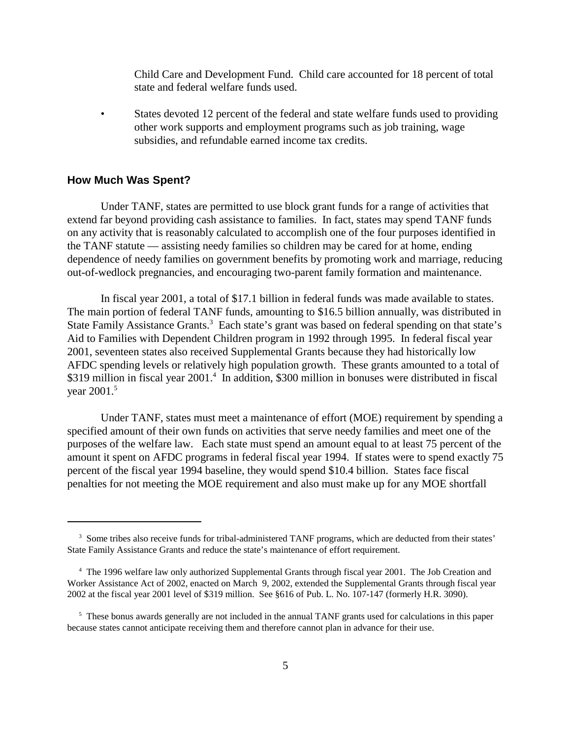Child Care and Development Fund. Child care accounted for 18 percent of total state and federal welfare funds used.

• States devoted 12 percent of the federal and state welfare funds used to providing other work supports and employment programs such as job training, wage subsidies, and refundable earned income tax credits.

## **How Much Was Spent?**

Under TANF, states are permitted to use block grant funds for a range of activities that extend far beyond providing cash assistance to families. In fact, states may spend TANF funds on any activity that is reasonably calculated to accomplish one of the four purposes identified in the TANF statute — assisting needy families so children may be cared for at home, ending dependence of needy families on government benefits by promoting work and marriage, reducing out-of-wedlock pregnancies, and encouraging two-parent family formation and maintenance.

In fiscal year 2001, a total of \$17.1 billion in federal funds was made available to states. The main portion of federal TANF funds, amounting to \$16.5 billion annually, was distributed in State Family Assistance Grants.<sup>3</sup> Each state's grant was based on federal spending on that state's Aid to Families with Dependent Children program in 1992 through 1995. In federal fiscal year 2001, seventeen states also received Supplemental Grants because they had historically low AFDC spending levels or relatively high population growth. These grants amounted to a total of \$319 million in fiscal year 2001.<sup>4</sup> In addition, \$300 million in bonuses were distributed in fiscal year 2001.<sup>5</sup>

Under TANF, states must meet a maintenance of effort (MOE) requirement by spending a specified amount of their own funds on activities that serve needy families and meet one of the purposes of the welfare law. Each state must spend an amount equal to at least 75 percent of the amount it spent on AFDC programs in federal fiscal year 1994. If states were to spend exactly 75 percent of the fiscal year 1994 baseline, they would spend \$10.4 billion. States face fiscal penalties for not meeting the MOE requirement and also must make up for any MOE shortfall

<sup>&</sup>lt;sup>3</sup> Some tribes also receive funds for tribal-administered TANF programs, which are deducted from their states' State Family Assistance Grants and reduce the state's maintenance of effort requirement.

<sup>&</sup>lt;sup>4</sup> The 1996 welfare law only authorized Supplemental Grants through fiscal year 2001. The Job Creation and Worker Assistance Act of 2002, enacted on March 9, 2002, extended the Supplemental Grants through fiscal year 2002 at the fiscal year 2001 level of \$319 million. See §616 of Pub. L. No. 107-147 (formerly H.R. 3090).

<sup>&</sup>lt;sup>5</sup> These bonus awards generally are not included in the annual TANF grants used for calculations in this paper because states cannot anticipate receiving them and therefore cannot plan in advance for their use.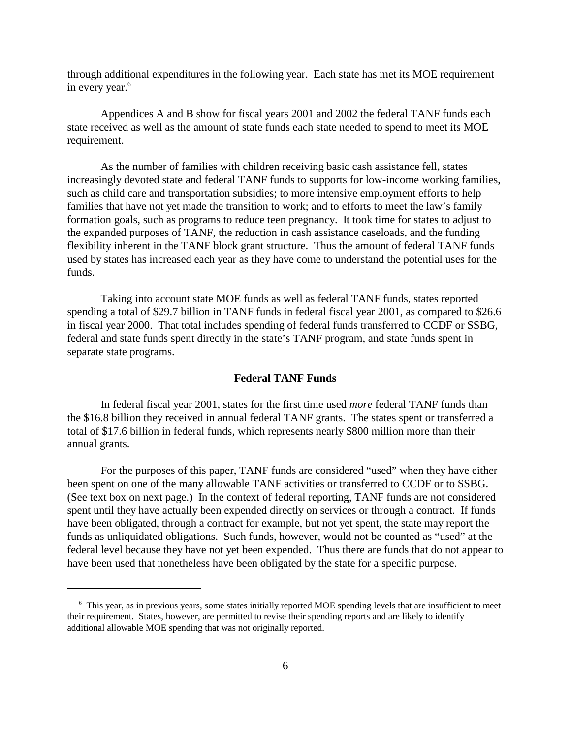through additional expenditures in the following year. Each state has met its MOE requirement in every year.<sup>6</sup>

Appendices A and B show for fiscal years 2001 and 2002 the federal TANF funds each state received as well as the amount of state funds each state needed to spend to meet its MOE requirement.

As the number of families with children receiving basic cash assistance fell, states increasingly devoted state and federal TANF funds to supports for low-income working families, such as child care and transportation subsidies; to more intensive employment efforts to help families that have not yet made the transition to work; and to efforts to meet the law's family formation goals, such as programs to reduce teen pregnancy. It took time for states to adjust to the expanded purposes of TANF, the reduction in cash assistance caseloads, and the funding flexibility inherent in the TANF block grant structure. Thus the amount of federal TANF funds used by states has increased each year as they have come to understand the potential uses for the funds.

Taking into account state MOE funds as well as federal TANF funds, states reported spending a total of \$29.7 billion in TANF funds in federal fiscal year 2001, as compared to \$26.6 in fiscal year 2000. That total includes spending of federal funds transferred to CCDF or SSBG, federal and state funds spent directly in the state's TANF program, and state funds spent in separate state programs.

## **Federal TANF Funds**

In federal fiscal year 2001, states for the first time used *more* federal TANF funds than the \$16.8 billion they received in annual federal TANF grants. The states spent or transferred a total of \$17.6 billion in federal funds, which represents nearly \$800 million more than their annual grants.

For the purposes of this paper, TANF funds are considered "used" when they have either been spent on one of the many allowable TANF activities or transferred to CCDF or to SSBG. (See text box on next page.) In the context of federal reporting, TANF funds are not considered spent until they have actually been expended directly on services or through a contract. If funds have been obligated, through a contract for example, but not yet spent, the state may report the funds as unliquidated obligations. Such funds, however, would not be counted as "used" at the federal level because they have not yet been expended. Thus there are funds that do not appear to have been used that nonetheless have been obligated by the state for a specific purpose.

 <sup>6</sup> This year, as in previous years, some states initially reported MOE spending levels that are insufficient to meet their requirement. States, however, are permitted to revise their spending reports and are likely to identify additional allowable MOE spending that was not originally reported.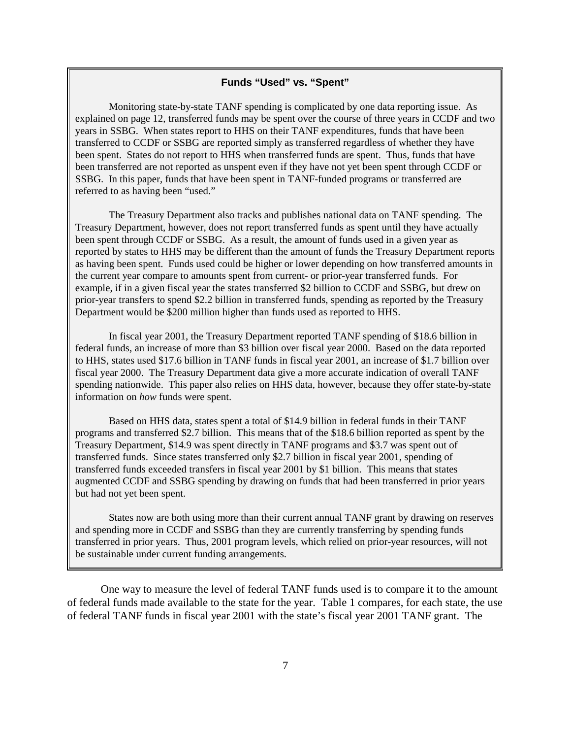## **Funds "Used" vs. "Spent"**

Monitoring state-by-state TANF spending is complicated by one data reporting issue. As explained on page 12, transferred funds may be spent over the course of three years in CCDF and two years in SSBG. When states report to HHS on their TANF expenditures, funds that have been transferred to CCDF or SSBG are reported simply as transferred regardless of whether they have been spent. States do not report to HHS when transferred funds are spent. Thus, funds that have been transferred are not reported as unspent even if they have not yet been spent through CCDF or SSBG. In this paper, funds that have been spent in TANF-funded programs or transferred are referred to as having been "used."

The Treasury Department also tracks and publishes national data on TANF spending. The Treasury Department, however, does not report transferred funds as spent until they have actually been spent through CCDF or SSBG. As a result, the amount of funds used in a given year as reported by states to HHS may be different than the amount of funds the Treasury Department reports as having been spent. Funds used could be higher or lower depending on how transferred amounts in the current year compare to amounts spent from current- or prior-year transferred funds. For example, if in a given fiscal year the states transferred \$2 billion to CCDF and SSBG, but drew on prior-year transfers to spend \$2.2 billion in transferred funds, spending as reported by the Treasury Department would be \$200 million higher than funds used as reported to HHS.

In fiscal year 2001, the Treasury Department reported TANF spending of \$18.6 billion in federal funds, an increase of more than \$3 billion over fiscal year 2000. Based on the data reported to HHS, states used \$17.6 billion in TANF funds in fiscal year 2001, an increase of \$1.7 billion over fiscal year 2000. The Treasury Department data give a more accurate indication of overall TANF spending nationwide. This paper also relies on HHS data, however, because they offer state-by-state information on *how* funds were spent.

Based on HHS data, states spent a total of \$14.9 billion in federal funds in their TANF programs and transferred \$2.7 billion. This means that of the \$18.6 billion reported as spent by the Treasury Department, \$14.9 was spent directly in TANF programs and \$3.7 was spent out of transferred funds. Since states transferred only \$2.7 billion in fiscal year 2001, spending of transferred funds exceeded transfers in fiscal year 2001 by \$1 billion. This means that states augmented CCDF and SSBG spending by drawing on funds that had been transferred in prior years but had not yet been spent.

States now are both using more than their current annual TANF grant by drawing on reserves and spending more in CCDF and SSBG than they are currently transferring by spending funds transferred in prior years. Thus, 2001 program levels, which relied on prior-year resources, will not be sustainable under current funding arrangements.

One way to measure the level of federal TANF funds used is to compare it to the amount of federal funds made available to the state for the year. Table 1 compares, for each state, the use of federal TANF funds in fiscal year 2001 with the state's fiscal year 2001 TANF grant. The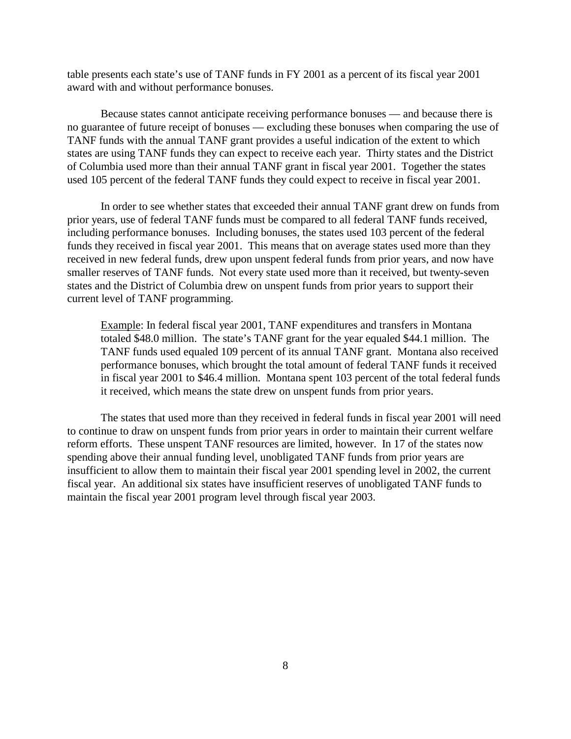table presents each state's use of TANF funds in FY 2001 as a percent of its fiscal year 2001 award with and without performance bonuses.

Because states cannot anticipate receiving performance bonuses — and because there is no guarantee of future receipt of bonuses — excluding these bonuses when comparing the use of TANF funds with the annual TANF grant provides a useful indication of the extent to which states are using TANF funds they can expect to receive each year. Thirty states and the District of Columbia used more than their annual TANF grant in fiscal year 2001. Together the states used 105 percent of the federal TANF funds they could expect to receive in fiscal year 2001.

In order to see whether states that exceeded their annual TANF grant drew on funds from prior years, use of federal TANF funds must be compared to all federal TANF funds received, including performance bonuses. Including bonuses, the states used 103 percent of the federal funds they received in fiscal year 2001. This means that on average states used more than they received in new federal funds, drew upon unspent federal funds from prior years, and now have smaller reserves of TANF funds. Not every state used more than it received, but twenty-seven states and the District of Columbia drew on unspent funds from prior years to support their current level of TANF programming.

 Example: In federal fiscal year 2001, TANF expenditures and transfers in Montana totaled \$48.0 million. The state's TANF grant for the year equaled \$44.1 million. The TANF funds used equaled 109 percent of its annual TANF grant. Montana also received performance bonuses, which brought the total amount of federal TANF funds it received in fiscal year 2001 to \$46.4 million. Montana spent 103 percent of the total federal funds it received, which means the state drew on unspent funds from prior years.

The states that used more than they received in federal funds in fiscal year 2001 will need to continue to draw on unspent funds from prior years in order to maintain their current welfare reform efforts. These unspent TANF resources are limited, however. In 17 of the states now spending above their annual funding level, unobligated TANF funds from prior years are insufficient to allow them to maintain their fiscal year 2001 spending level in 2002, the current fiscal year. An additional six states have insufficient reserves of unobligated TANF funds to maintain the fiscal year 2001 program level through fiscal year 2003.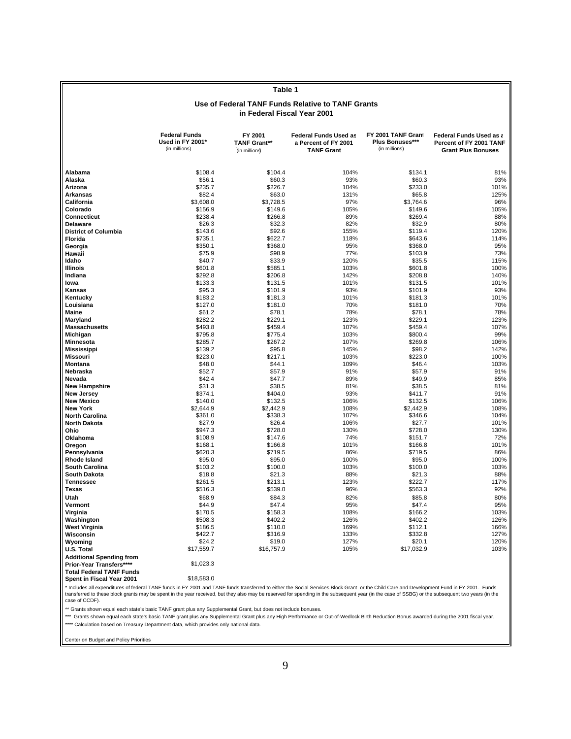|                                      | Use of Federal TANF Funds Relative to TANF Grants<br>in Federal Fiscal Year 2001 |                                                 |                                                                           |                                                               |                                                                                 |  |
|--------------------------------------|----------------------------------------------------------------------------------|-------------------------------------------------|---------------------------------------------------------------------------|---------------------------------------------------------------|---------------------------------------------------------------------------------|--|
|                                      | <b>Federal Funds</b><br>Used in FY 2001*<br>(in millions)                        | FY 2001<br><b>TANF Grant**</b><br>(in millions) | <b>Federal Funds Used as</b><br>a Percent of FY 2001<br><b>TANF Grant</b> | FY 2001 TANF Grant<br><b>Plus Bonuses***</b><br>(in millions) | Federal Funds Used as a<br>Percent of FY 2001 TANF<br><b>Grant Plus Bonuses</b> |  |
| Alabama                              | \$108.4                                                                          | \$104.4                                         | 104%                                                                      | \$134.1                                                       | 81%                                                                             |  |
| Alaska                               | \$56.1                                                                           | \$60.3                                          | 93%                                                                       | \$60.3                                                        | 93%                                                                             |  |
| Arizona                              | \$235.7                                                                          | \$226.7                                         | 104%                                                                      | \$233.0                                                       | 101%                                                                            |  |
| <b>Arkansas</b>                      | \$82.4                                                                           | \$63.0                                          | 131%                                                                      | \$65.8                                                        | 125%                                                                            |  |
| California                           | \$3,608.0                                                                        | \$3,728.5                                       | 97%                                                                       | \$3,764.6                                                     | 96%                                                                             |  |
| Colorado                             | \$156.9                                                                          | \$149.6                                         | 105%                                                                      | \$149.6                                                       | 105%                                                                            |  |
| Connecticut                          | \$238.4                                                                          | \$266.8                                         | 89%                                                                       | \$269.4                                                       | 88%                                                                             |  |
| <b>Delaware</b>                      | \$26.3                                                                           | \$32.3                                          | 82%                                                                       | \$32.9                                                        | 80%                                                                             |  |
| <b>District of Columbia</b>          | \$143.6                                                                          | \$92.6                                          | 155%                                                                      | \$119.4                                                       | 120%                                                                            |  |
| Florida                              | \$735.1                                                                          | \$622.7                                         | 118%                                                                      | \$643.6                                                       | 114%                                                                            |  |
| Georgia                              | \$350.1                                                                          | \$368.0                                         | 95%                                                                       | \$368.0                                                       | 95%                                                                             |  |
| Hawaii                               | \$75.9                                                                           | \$98.9                                          | 77%                                                                       | \$103.9                                                       | 73%                                                                             |  |
| Idaho                                | \$40.7                                                                           | \$33.9                                          | 120%                                                                      | \$35.5                                                        | 115%                                                                            |  |
| <b>Illinois</b>                      | \$601.8                                                                          | \$585.1                                         | 103%                                                                      | \$601.8                                                       | 100%                                                                            |  |
| Indiana                              | \$292.8                                                                          | \$206.8                                         | 142%                                                                      | \$208.8                                                       | 140%                                                                            |  |
| lowa                                 | \$133.3                                                                          | \$131.5                                         | 101%                                                                      | \$131.5                                                       | 101%                                                                            |  |
| Kansas                               | \$95.3                                                                           | \$101.9                                         | 93%                                                                       | \$101.9                                                       | 93%                                                                             |  |
| Kentucky                             | \$183.2                                                                          | \$181.3                                         | 101%                                                                      | \$181.3                                                       | 101%                                                                            |  |
| Louisiana                            | \$127.0                                                                          | \$181.0                                         | 70%                                                                       | \$181.0                                                       | 70%                                                                             |  |
| Maine                                | \$61.2                                                                           | \$78.1                                          | 78%                                                                       | \$78.1                                                        | 78%                                                                             |  |
| Maryland                             | \$282.2                                                                          | \$229.1                                         | 123%                                                                      | \$229.1                                                       | 123%                                                                            |  |
| <b>Massachusetts</b>                 | \$493.8                                                                          | \$459.4                                         | 107%                                                                      | \$459.4                                                       | 107%                                                                            |  |
| Michigan                             | \$795.8                                                                          | \$775.4                                         | 103%                                                                      | \$800.4                                                       | 99%                                                                             |  |
| Minnesota                            | \$285.7                                                                          | \$267.2                                         | 107%                                                                      | \$269.8                                                       | 106%                                                                            |  |
| <b>Mississippi</b>                   | \$139.2                                                                          | \$95.8                                          | 145%                                                                      | \$98.2                                                        | 142%                                                                            |  |
| <b>Missouri</b>                      | \$223.0                                                                          | \$217.1                                         | 103%                                                                      | \$223.0                                                       | 100%                                                                            |  |
| Montana                              | \$48.0                                                                           | \$44.1                                          | 109%                                                                      | \$46.4                                                        | 103%                                                                            |  |
| Nebraska                             | \$52.7                                                                           | \$57.9                                          | 91%                                                                       | \$57.9                                                        | 91%                                                                             |  |
| Nevada                               | \$42.4                                                                           | \$47.7                                          | 89%                                                                       | \$49.9                                                        | 85%                                                                             |  |
| <b>New Hampshire</b>                 | \$31.3                                                                           | \$38.5                                          | 81%                                                                       | \$38.5                                                        | 81%                                                                             |  |
| New Jersey                           | \$374.1                                                                          | \$404.0                                         | 93%                                                                       | \$411.7                                                       | 91%                                                                             |  |
| <b>New Mexico</b><br><b>New York</b> | \$140.0                                                                          | \$132.5                                         | 106%                                                                      | \$132.5                                                       | 106%                                                                            |  |
| <b>North Carolina</b>                | \$2,644.9<br>\$361.0                                                             | \$2,442.9<br>\$338.3                            | 108%<br>107%                                                              | \$2,442.9                                                     | 108%<br>104%                                                                    |  |
| <b>North Dakota</b>                  | \$27.9                                                                           | \$26.4                                          | 106%                                                                      | \$346.6<br>\$27.7                                             | 101%                                                                            |  |
| Ohio                                 | \$947.3                                                                          | \$728.0                                         | 130%                                                                      | \$728.0                                                       | 130%                                                                            |  |
| Oklahoma                             | \$108.9                                                                          | \$147.6                                         | 74%                                                                       | \$151.7                                                       | 72%                                                                             |  |
| Oregon                               | \$168.1                                                                          | \$166.8                                         | 101%                                                                      | \$166.8                                                       | 101%                                                                            |  |
| Pennsylvania                         | \$620.3                                                                          | \$719.5                                         | 86%                                                                       | \$719.5                                                       | 86%                                                                             |  |
| <b>Rhode Island</b>                  | \$95.0                                                                           | \$95.0                                          | 100%                                                                      | \$95.0                                                        | 100%                                                                            |  |
| <b>South Carolina</b>                | \$103.2                                                                          | \$100.0                                         | 103%                                                                      | \$100.0                                                       | 103%                                                                            |  |
| South Dakota                         | \$18.8                                                                           | \$21.3                                          | 88%                                                                       | \$21.3                                                        | 88%                                                                             |  |
| <b>Tennessee</b>                     | \$261.5                                                                          | \$213.1                                         | 123%                                                                      | \$222.7                                                       | 117%                                                                            |  |
| <b>Texas</b>                         | \$516.3                                                                          | \$539.0                                         | 96%                                                                       | \$563.3                                                       | 92%                                                                             |  |
| Utah                                 | \$68.9                                                                           | \$84.3                                          | 82%                                                                       | \$85.8                                                        | 80%                                                                             |  |
| Vermont                              | \$44.9                                                                           | \$47.4                                          | 95%                                                                       | \$47.4                                                        | 95%                                                                             |  |
| Virginia                             | \$170.5                                                                          | \$158.3                                         | 108%                                                                      | \$166.2                                                       | 103%                                                                            |  |
| Washington                           | \$508.3                                                                          | \$402.2                                         | 126%                                                                      | \$402.2                                                       | 126%                                                                            |  |
| West Virginia                        | \$186.5                                                                          | \$110.0                                         | 169%                                                                      | \$112.1                                                       | 166%                                                                            |  |
| Wisconsin                            | \$422.7                                                                          | \$316.9                                         | 133%                                                                      | \$332.8                                                       | 127%                                                                            |  |
| Wyoming                              | \$24.2                                                                           | \$19.0                                          | 127%                                                                      | \$20.1                                                        | 120%                                                                            |  |
| U.S. Total                           | \$17,559.7                                                                       | \$16,757.9                                      | 105%                                                                      | \$17,032.9                                                    | 103%                                                                            |  |
| <b>Additional Spending from</b>      |                                                                                  |                                                 |                                                                           |                                                               |                                                                                 |  |
| Prior-Year Transfers****             | \$1,023.3                                                                        |                                                 |                                                                           |                                                               |                                                                                 |  |
| <b>Total Federal TANF Funds</b>      |                                                                                  |                                                 |                                                                           |                                                               |                                                                                 |  |

**Table 1**

Total Federal TANF Funds<br>Spent in Fiscal Year 2001 \$18,583.0

case of CCDF). transferred to these block grants may be spent in the year received, but they also may be reserved for spending in the subsequent year (in the case of SSBG) or the subsequent two years (in the \* Includes all expenditures of federal TANF funds in FY 2001 and TANF funds transferred to either the Social Services Block Grant or the Child Care and Development Fund in FY 2001. Funds

\*\* Grants shown equal each state's basic TANF grant plus any Supplemental Grant, but does not include bonuses.

\*\*\* Grants shown equal each state's basic TANF grant plus any Supplemental Grant plus any High Performance or Out-of-Wedlock Birth Reduction Bonus awarded during the 2001 fiscal year. \*\*\*\* Calculation based on Treasury Department data, which provides only national data.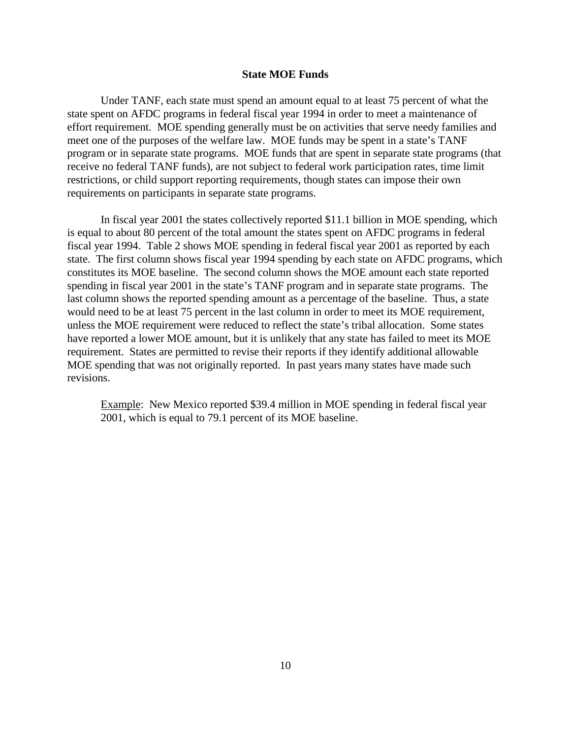## **State MOE Funds**

Under TANF, each state must spend an amount equal to at least 75 percent of what the state spent on AFDC programs in federal fiscal year 1994 in order to meet a maintenance of effort requirement. MOE spending generally must be on activities that serve needy families and meet one of the purposes of the welfare law. MOE funds may be spent in a state's TANF program or in separate state programs. MOE funds that are spent in separate state programs (that receive no federal TANF funds), are not subject to federal work participation rates, time limit restrictions, or child support reporting requirements, though states can impose their own requirements on participants in separate state programs.

In fiscal year 2001 the states collectively reported \$11.1 billion in MOE spending, which is equal to about 80 percent of the total amount the states spent on AFDC programs in federal fiscal year 1994. Table 2 shows MOE spending in federal fiscal year 2001 as reported by each state. The first column shows fiscal year 1994 spending by each state on AFDC programs, which constitutes its MOE baseline. The second column shows the MOE amount each state reported spending in fiscal year 2001 in the state's TANF program and in separate state programs. The last column shows the reported spending amount as a percentage of the baseline. Thus, a state would need to be at least 75 percent in the last column in order to meet its MOE requirement, unless the MOE requirement were reduced to reflect the state's tribal allocation. Some states have reported a lower MOE amount, but it is unlikely that any state has failed to meet its MOE requirement. States are permitted to revise their reports if they identify additional allowable MOE spending that was not originally reported. In past years many states have made such revisions.

Example: New Mexico reported \$39.4 million in MOE spending in federal fiscal year 2001, which is equal to 79.1 percent of its MOE baseline.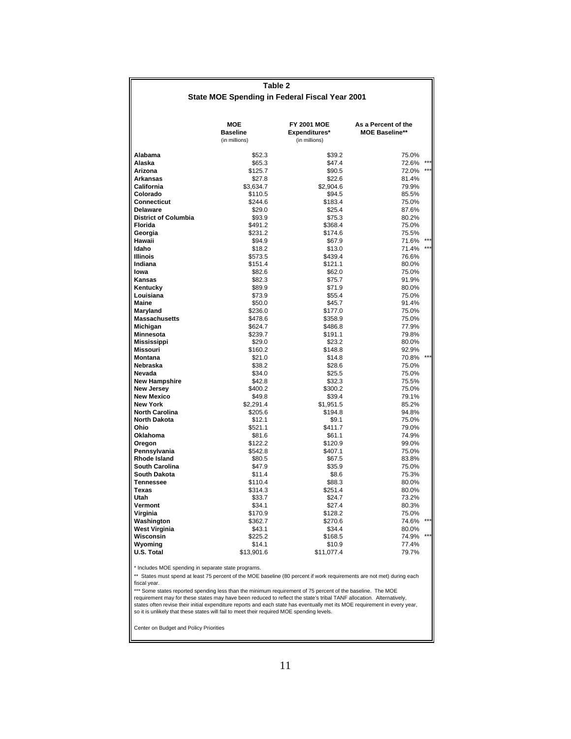|                                                                                                                                        | Table 2                                 |                                                      |                                              |       |  |  |  |  |  |
|----------------------------------------------------------------------------------------------------------------------------------------|-----------------------------------------|------------------------------------------------------|----------------------------------------------|-------|--|--|--|--|--|
|                                                                                                                                        |                                         | State MOE Spending in Federal Fiscal Year 2001       |                                              |       |  |  |  |  |  |
|                                                                                                                                        |                                         |                                                      |                                              |       |  |  |  |  |  |
|                                                                                                                                        | MOE<br><b>Baseline</b><br>(in millions) | <b>FY 2001 MOE</b><br>Expenditures*<br>(in millions) | As a Percent of the<br><b>MOE Baseline**</b> |       |  |  |  |  |  |
| Alabama                                                                                                                                | \$52.3                                  | \$39.2                                               | 75.0%                                        |       |  |  |  |  |  |
| Alaska                                                                                                                                 | \$65.3                                  | \$47.4                                               | 72.6%                                        |       |  |  |  |  |  |
| Arizona                                                                                                                                | \$125.7                                 | \$90.5                                               | 72.0%                                        |       |  |  |  |  |  |
| <b>Arkansas</b><br>California                                                                                                          | \$27.8<br>\$3.634.7                     | \$22.6<br>\$2,904.6                                  | 81.4%<br>79.9%                               |       |  |  |  |  |  |
| Colorado                                                                                                                               | \$110.5                                 | \$94.5                                               | 85.5%                                        |       |  |  |  |  |  |
| Connecticut                                                                                                                            | \$244.6                                 | \$183.4                                              | 75.0%                                        |       |  |  |  |  |  |
| <b>Delaware</b>                                                                                                                        | \$29.0                                  | \$25.4                                               | 87.6%                                        |       |  |  |  |  |  |
| <b>District of Columbia</b>                                                                                                            | \$93.9                                  | \$75.3                                               | 80.2%                                        |       |  |  |  |  |  |
| Florida                                                                                                                                | \$491.2                                 | \$368.4                                              | 75.0%                                        |       |  |  |  |  |  |
| Georgia                                                                                                                                | \$231.2                                 | \$174.6                                              | 75.5%                                        |       |  |  |  |  |  |
| Hawaii                                                                                                                                 | \$94.9                                  | \$67.9                                               | 71.6%                                        |       |  |  |  |  |  |
| Idaho                                                                                                                                  | \$18.2                                  | \$13.0                                               | 71.4%                                        | $***$ |  |  |  |  |  |
| <b>Illinois</b><br>Indiana                                                                                                             | \$573.5                                 | \$439.4                                              | 76.6%                                        |       |  |  |  |  |  |
| lowa                                                                                                                                   | \$151.4<br>\$82.6                       | \$121.1<br>\$62.0                                    | 80.0%<br>75.0%                               |       |  |  |  |  |  |
| Kansas                                                                                                                                 | \$82.3                                  | \$75.7                                               | 91.9%                                        |       |  |  |  |  |  |
| Kentucky                                                                                                                               | \$89.9                                  | \$71.9                                               | 80.0%                                        |       |  |  |  |  |  |
| Louisiana                                                                                                                              | \$73.9                                  | \$55.4                                               | 75.0%                                        |       |  |  |  |  |  |
| Maine                                                                                                                                  | \$50.0                                  | \$45.7                                               | 91.4%                                        |       |  |  |  |  |  |
| Maryland                                                                                                                               | \$236.0                                 | \$177.0                                              | 75.0%                                        |       |  |  |  |  |  |
| <b>Massachusetts</b>                                                                                                                   | \$478.6                                 | \$358.9                                              | 75.0%                                        |       |  |  |  |  |  |
| Michigan                                                                                                                               | \$624.7                                 | \$486.8                                              | 77.9%                                        |       |  |  |  |  |  |
| Minnesota                                                                                                                              | \$239.7                                 | \$191.1                                              | 79.8%                                        |       |  |  |  |  |  |
| <b>Mississippi</b>                                                                                                                     | \$29.0                                  | \$23.2                                               | 80.0%                                        |       |  |  |  |  |  |
| Missouri                                                                                                                               | \$160.2                                 | \$148.8                                              | 92.9%                                        |       |  |  |  |  |  |
| <b>Montana</b>                                                                                                                         | \$21.0                                  | \$14.8                                               | 70.8%                                        |       |  |  |  |  |  |
| Nebraska                                                                                                                               | \$38.2                                  | \$28.6                                               | 75.0%                                        |       |  |  |  |  |  |
| Nevada                                                                                                                                 | \$34.0                                  | \$25.5                                               | 75.0%<br>75.5%                               |       |  |  |  |  |  |
| <b>New Hampshire</b><br><b>New Jersey</b>                                                                                              | \$42.8<br>\$400.2                       | \$32.3<br>\$300.2                                    | 75.0%                                        |       |  |  |  |  |  |
| <b>New Mexico</b>                                                                                                                      | \$49.8                                  | \$39.4                                               | 79.1%                                        |       |  |  |  |  |  |
| <b>New York</b>                                                                                                                        | \$2,291.4                               | \$1,951.5                                            | 85.2%                                        |       |  |  |  |  |  |
| <b>North Carolina</b>                                                                                                                  | \$205.6                                 | \$194.8                                              | 94.8%                                        |       |  |  |  |  |  |
| <b>North Dakota</b>                                                                                                                    | \$12.1                                  | \$9.1                                                | 75.0%                                        |       |  |  |  |  |  |
| Ohio                                                                                                                                   | \$521.1                                 | \$411.7                                              | 79.0%                                        |       |  |  |  |  |  |
| Oklahoma                                                                                                                               | \$81.6                                  | \$61.1                                               | 74.9%                                        |       |  |  |  |  |  |
| Oregon                                                                                                                                 | \$122.2                                 | \$120.9                                              | 99.0%                                        |       |  |  |  |  |  |
| Pennsylvania                                                                                                                           | \$542.8                                 | \$407.1                                              | 75.0%                                        |       |  |  |  |  |  |
| <b>Rhode Island</b>                                                                                                                    | \$80.5                                  | \$67.5                                               | 83.8%                                        |       |  |  |  |  |  |
| South Carolina                                                                                                                         | \$47.9                                  | \$35.9                                               | 75.0%                                        |       |  |  |  |  |  |
| <b>South Dakota</b>                                                                                                                    | \$11.4                                  | \$8.6                                                | 75.3%                                        |       |  |  |  |  |  |
| <b>Tennessee</b><br>Texas                                                                                                              | \$110.4<br>\$314.3                      | \$88.3<br>\$251.4                                    | 80.0%                                        |       |  |  |  |  |  |
| Utah                                                                                                                                   | \$33.7                                  | \$24.7                                               | 80.0%<br>73.2%                               |       |  |  |  |  |  |
| Vermont                                                                                                                                | \$34.1                                  | \$27.4                                               | 80.3%                                        |       |  |  |  |  |  |
| Virginia                                                                                                                               | \$170.9                                 | \$128.2                                              | 75.0%                                        |       |  |  |  |  |  |
| Washington                                                                                                                             | \$362.7                                 | \$270.6                                              | 74.6%                                        |       |  |  |  |  |  |
| West Virginia                                                                                                                          | \$43.1                                  | \$34.4                                               | 80.0%                                        |       |  |  |  |  |  |
| Wisconsin                                                                                                                              | \$225.2                                 | \$168.5                                              | 74.9%                                        |       |  |  |  |  |  |
| Wyoming                                                                                                                                | \$14.1                                  | \$10.9                                               | 77.4%                                        |       |  |  |  |  |  |
| U.S. Total                                                                                                                             | \$13,901.6                              | \$11,077.4                                           | 79.7%                                        |       |  |  |  |  |  |
|                                                                                                                                        |                                         |                                                      |                                              |       |  |  |  |  |  |
| * Includes MOE spending in separate state programs.                                                                                    |                                         |                                                      |                                              |       |  |  |  |  |  |
| ** States must spend at least 75 percent of the MOE baseline (80 percent if work requirements are not met) during each<br>fiscal year. |                                         |                                                      |                                              |       |  |  |  |  |  |

\*\*\* Some states reported spending less than the minimum requirement of 75 percent of the baseline. The MOE<br>requirement may for these states may have been reduced to reflect the state's tribal TANF allocation. Alternatively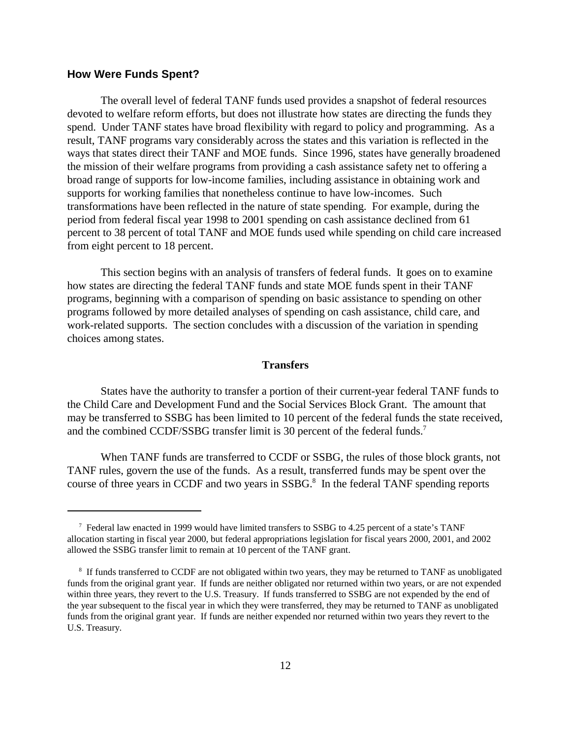### **How Were Funds Spent?**

The overall level of federal TANF funds used provides a snapshot of federal resources devoted to welfare reform efforts, but does not illustrate how states are directing the funds they spend. Under TANF states have broad flexibility with regard to policy and programming. As a result, TANF programs vary considerably across the states and this variation is reflected in the ways that states direct their TANF and MOE funds. Since 1996, states have generally broadened the mission of their welfare programs from providing a cash assistance safety net to offering a broad range of supports for low-income families, including assistance in obtaining work and supports for working families that nonetheless continue to have low-incomes. Such transformations have been reflected in the nature of state spending. For example, during the period from federal fiscal year 1998 to 2001 spending on cash assistance declined from 61 percent to 38 percent of total TANF and MOE funds used while spending on child care increased from eight percent to 18 percent.

This section begins with an analysis of transfers of federal funds. It goes on to examine how states are directing the federal TANF funds and state MOE funds spent in their TANF programs, beginning with a comparison of spending on basic assistance to spending on other programs followed by more detailed analyses of spending on cash assistance, child care, and work-related supports. The section concludes with a discussion of the variation in spending choices among states.

### **Transfers**

States have the authority to transfer a portion of their current-year federal TANF funds to the Child Care and Development Fund and the Social Services Block Grant. The amount that may be transferred to SSBG has been limited to 10 percent of the federal funds the state received, and the combined CCDF/SSBG transfer limit is 30 percent of the federal funds.<sup>7</sup>

When TANF funds are transferred to CCDF or SSBG, the rules of those block grants, not TANF rules, govern the use of the funds. As a result, transferred funds may be spent over the course of three years in CCDF and two years in SSBG.<sup>8</sup> In the federal TANF spending reports

 <sup>7</sup> Federal law enacted in 1999 would have limited transfers to SSBG to 4.25 percent of a state's TANF allocation starting in fiscal year 2000, but federal appropriations legislation for fiscal years 2000, 2001, and 2002 allowed the SSBG transfer limit to remain at 10 percent of the TANF grant.

<sup>&</sup>lt;sup>8</sup> If funds transferred to CCDF are not obligated within two years, they may be returned to TANF as unobligated funds from the original grant year. If funds are neither obligated nor returned within two years, or are not expended within three years, they revert to the U.S. Treasury. If funds transferred to SSBG are not expended by the end of the year subsequent to the fiscal year in which they were transferred, they may be returned to TANF as unobligated funds from the original grant year. If funds are neither expended nor returned within two years they revert to the U.S. Treasury.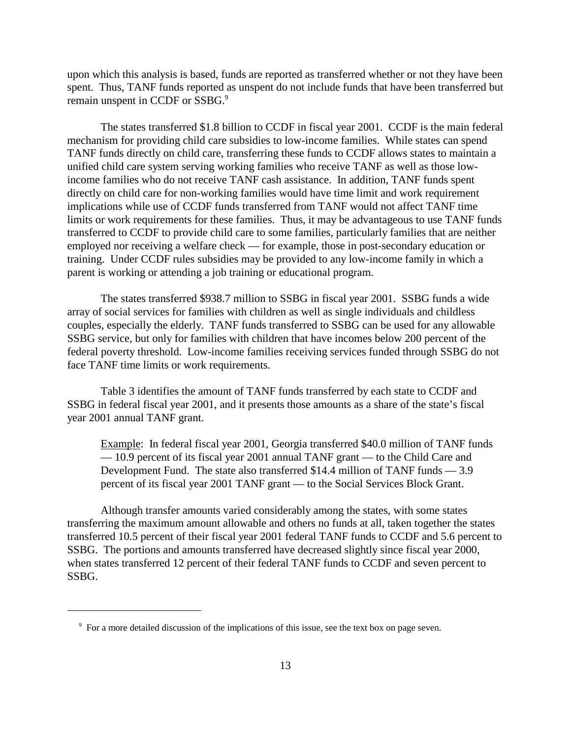upon which this analysis is based, funds are reported as transferred whether or not they have been spent. Thus, TANF funds reported as unspent do not include funds that have been transferred but remain unspent in CCDF or SSBG.<sup>9</sup>

The states transferred \$1.8 billion to CCDF in fiscal year 2001. CCDF is the main federal mechanism for providing child care subsidies to low-income families. While states can spend TANF funds directly on child care, transferring these funds to CCDF allows states to maintain a unified child care system serving working families who receive TANF as well as those lowincome families who do not receive TANF cash assistance. In addition, TANF funds spent directly on child care for non-working families would have time limit and work requirement implications while use of CCDF funds transferred from TANF would not affect TANF time limits or work requirements for these families. Thus, it may be advantageous to use TANF funds transferred to CCDF to provide child care to some families, particularly families that are neither employed nor receiving a welfare check — for example, those in post-secondary education or training. Under CCDF rules subsidies may be provided to any low-income family in which a parent is working or attending a job training or educational program.

The states transferred \$938.7 million to SSBG in fiscal year 2001. SSBG funds a wide array of social services for families with children as well as single individuals and childless couples, especially the elderly. TANF funds transferred to SSBG can be used for any allowable SSBG service, but only for families with children that have incomes below 200 percent of the federal poverty threshold. Low-income families receiving services funded through SSBG do not face TANF time limits or work requirements.

Table 3 identifies the amount of TANF funds transferred by each state to CCDF and SSBG in federal fiscal year 2001, and it presents those amounts as a share of the state's fiscal year 2001 annual TANF grant.

Example: In federal fiscal year 2001, Georgia transferred \$40.0 million of TANF funds — 10.9 percent of its fiscal year 2001 annual TANF grant — to the Child Care and Development Fund. The state also transferred \$14.4 million of TANF funds — 3.9 percent of its fiscal year 2001 TANF grant — to the Social Services Block Grant.

Although transfer amounts varied considerably among the states, with some states transferring the maximum amount allowable and others no funds at all, taken together the states transferred 10.5 percent of their fiscal year 2001 federal TANF funds to CCDF and 5.6 percent to SSBG. The portions and amounts transferred have decreased slightly since fiscal year 2000, when states transferred 12 percent of their federal TANF funds to CCDF and seven percent to SSBG.

<sup>&</sup>lt;sup>9</sup> For a more detailed discussion of the implications of this issue, see the text box on page seven.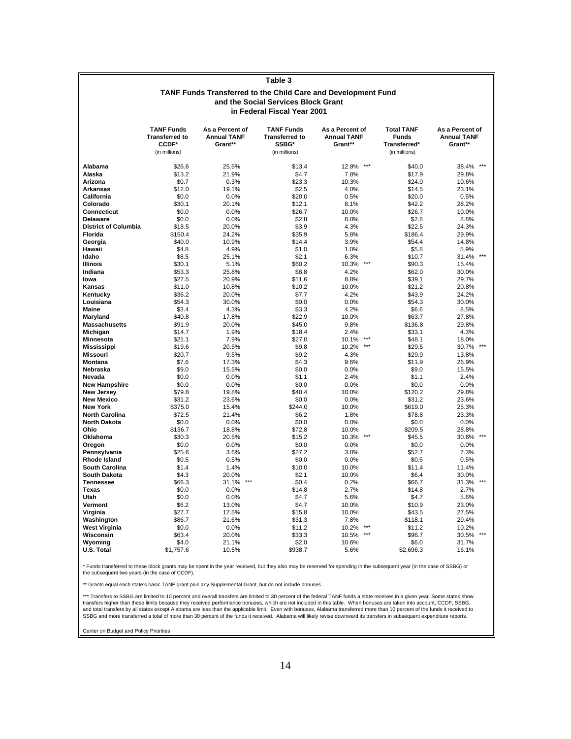|                                              | <b>TANF Funds Transferred to the Child Care and Development Fund</b> |                                                  |                                                                      |                                                  |                                                                    |                                                  |  |  |  |
|----------------------------------------------|----------------------------------------------------------------------|--------------------------------------------------|----------------------------------------------------------------------|--------------------------------------------------|--------------------------------------------------------------------|--------------------------------------------------|--|--|--|
|                                              |                                                                      |                                                  | and the Social Services Block Grant                                  |                                                  |                                                                    |                                                  |  |  |  |
|                                              |                                                                      |                                                  | in Federal Fiscal Year 2001                                          |                                                  |                                                                    |                                                  |  |  |  |
|                                              |                                                                      |                                                  |                                                                      |                                                  |                                                                    |                                                  |  |  |  |
|                                              | <b>TANF Funds</b><br><b>Transferred to</b><br>CCDF*<br>(in millions) | As a Percent of<br><b>Annual TANF</b><br>Grant** | <b>TANF Funds</b><br><b>Transferred to</b><br>SSBG*<br>(in millions) | As a Percent of<br><b>Annual TANF</b><br>Grant** | <b>Total TANF</b><br><b>Funds</b><br>Transferred*<br>(in millions) | As a Percent of<br><b>Annual TANF</b><br>Grant** |  |  |  |
|                                              |                                                                      |                                                  |                                                                      |                                                  |                                                                    |                                                  |  |  |  |
| Alabama                                      | \$26.6                                                               | 25.5%                                            | \$13.4                                                               | $***$<br>12.8%                                   | \$40.0                                                             | 38.4%<br>$***$                                   |  |  |  |
| Alaska                                       | \$13.2                                                               | 21.9%                                            | \$4.7                                                                | 7.8%                                             | \$17.9                                                             | 29.8%                                            |  |  |  |
| Arizona                                      | \$0.7                                                                | 0.3%                                             | \$23.3                                                               | 10.3%                                            | \$24.0                                                             | 10.6%                                            |  |  |  |
| <b>Arkansas</b>                              | \$12.0                                                               | 19.1%                                            | \$2.5                                                                | 4.0%                                             | \$14.5                                                             | 23.1%                                            |  |  |  |
| California                                   | \$0.0                                                                | 0.0%                                             | \$20.0                                                               | 0.5%                                             | \$20.0                                                             | 0.5%                                             |  |  |  |
| Colorado                                     | \$30.1                                                               | 20.1%                                            | \$12.1                                                               | 8.1%                                             | \$42.2                                                             | 28.2%                                            |  |  |  |
| <b>Connecticut</b>                           | \$0.0                                                                | 0.0%                                             | \$26.7                                                               | 10.0%                                            | \$26.7                                                             | 10.0%                                            |  |  |  |
| <b>Delaware</b>                              | \$0.0                                                                | 0.0%                                             | \$2.8                                                                | 8.8%                                             | \$2.8                                                              | 8.8%                                             |  |  |  |
| <b>District of Columbia</b>                  | \$18.5                                                               | 20.0%                                            | \$3.9                                                                | 4.3%                                             | \$22.5                                                             | 24.3%                                            |  |  |  |
| Florida<br>Georgia                           | \$150.4<br>\$40.0                                                    | 24.2%                                            | \$35.9                                                               | 5.8%                                             | \$186.4                                                            | 29.9%                                            |  |  |  |
| Hawaii                                       | \$4.8                                                                | 10.9%<br>4.9%                                    | \$14.4<br>\$1.0                                                      | 3.9%<br>1.0%                                     | \$54.4<br>\$5.8                                                    | 14.8%<br>5.9%                                    |  |  |  |
| Idaho                                        | \$8.5                                                                | 25.1%                                            | \$2.1                                                                | 6.3%                                             | \$10.7                                                             | $***$<br>31.4%                                   |  |  |  |
| <b>Illinois</b>                              | \$30.1                                                               | 5.1%                                             | \$60.2                                                               | $***$<br>10.3%                                   | \$90.3                                                             | 15.4%                                            |  |  |  |
| Indiana                                      | \$53.3                                                               | 25.8%                                            | \$8.8                                                                | 4.2%                                             | \$62.0                                                             | 30.0%                                            |  |  |  |
| lowa                                         | \$27.5                                                               | 20.9%                                            | \$11.6                                                               | 8.8%                                             | \$39.1                                                             | 29.7%                                            |  |  |  |
| Kansas                                       | \$11.0                                                               | 10.8%                                            | \$10.2                                                               | 10.0%                                            | \$21.2                                                             | 20.8%                                            |  |  |  |
| Kentucky                                     | \$36.2                                                               | 20.0%                                            | \$7.7                                                                | 4.2%                                             | \$43.9                                                             | 24.2%                                            |  |  |  |
| Louisiana                                    | \$54.3                                                               | 30.0%                                            | \$0.0                                                                | 0.0%                                             | \$54.3                                                             | 30.0%                                            |  |  |  |
| <b>Maine</b>                                 | \$3.4                                                                | 4.3%                                             | \$3.3                                                                | 4.2%                                             | \$6.6                                                              | 8.5%                                             |  |  |  |
| Maryland                                     | \$40.8                                                               | 17.8%                                            | \$22.9                                                               | 10.0%                                            | \$63.7                                                             | 27.8%                                            |  |  |  |
| <b>Massachusetts</b>                         | \$91.9                                                               | 20.0%                                            | \$45.0                                                               | 9.8%                                             | \$136.8                                                            | 29.8%                                            |  |  |  |
| Michigan                                     | \$14.7                                                               | 1.9%                                             | \$18.4                                                               | 2.4%                                             | \$33.1                                                             | 4.3%                                             |  |  |  |
| Minnesota                                    | \$21.1                                                               | 7.9%                                             | \$27.0                                                               | $***$<br>10.1%                                   | \$48.1                                                             | 18.0%                                            |  |  |  |
| <b>Mississippi</b>                           | \$19.6                                                               | 20.5%                                            | \$9.8                                                                | $***$<br>10.2%                                   | \$29.5                                                             | $***$<br>30.7%                                   |  |  |  |
| <b>Missouri</b>                              | \$20.7                                                               | 9.5%                                             | \$9.2                                                                | 4.3%                                             | \$29.9                                                             | 13.8%                                            |  |  |  |
| <b>Montana</b><br>Nebraska                   | \$7.6<br>\$9.0                                                       | 17.3%<br>15.5%                                   | \$4.3<br>\$0.0                                                       | 9.6%<br>0.0%                                     | \$11.9<br>\$9.0                                                    | 26.9%<br>15.5%                                   |  |  |  |
| Nevada                                       | \$0.0                                                                | 0.0%                                             | \$1.1                                                                | 2.4%                                             | \$1.1                                                              | 2.4%                                             |  |  |  |
| <b>New Hampshire</b>                         | \$0.0                                                                | 0.0%                                             | \$0.0                                                                | 0.0%                                             | \$0.0                                                              | 0.0%                                             |  |  |  |
| New Jersey                                   | \$79.8                                                               | 19.8%                                            | \$40.4                                                               | 10.0%                                            | \$120.2                                                            | 29.8%                                            |  |  |  |
| <b>New Mexico</b>                            | \$31.2                                                               | 23.6%                                            | \$0.0                                                                | 0.0%                                             | \$31.2                                                             | 23.6%                                            |  |  |  |
| <b>New York</b>                              | \$375.0                                                              | 15.4%                                            | \$244.0                                                              | 10.0%                                            | \$619.0                                                            | 25.3%                                            |  |  |  |
| <b>North Carolina</b>                        | \$72.5                                                               | 21.4%                                            | \$6.2                                                                | 1.8%                                             | \$78.8                                                             | 23.3%                                            |  |  |  |
| <b>North Dakota</b>                          | \$0.0                                                                | 0.0%                                             | \$0.0                                                                | 0.0%                                             | \$0.0                                                              | 0.0%                                             |  |  |  |
| Ohio                                         | \$136.7                                                              | 18.8%                                            | \$72.8                                                               | 10.0%                                            | \$209.5                                                            | 28.8%                                            |  |  |  |
| Oklahoma                                     | \$30.3                                                               | 20.5%                                            | \$15.2                                                               | $***$<br>10.3%                                   | \$45.5                                                             | $***$<br>30.8%                                   |  |  |  |
| Oregon                                       | \$0.0                                                                | 0.0%                                             | \$0.0                                                                | 0.0%                                             | \$0.0                                                              | 0.0%                                             |  |  |  |
| Pennsylvania                                 | \$25.6                                                               | 3.6%                                             | \$27.2                                                               | 3.8%                                             | \$52.7                                                             | 7.3%                                             |  |  |  |
| <b>Rhode Island</b>                          | \$0.5                                                                | 0.5%                                             | \$0.0                                                                | 0.0%                                             | \$0.5                                                              | 0.5%                                             |  |  |  |
| <b>South Carolina</b><br><b>South Dakota</b> | \$1.4                                                                | 1.4%                                             | \$10.0                                                               | 10.0%                                            | \$11.4                                                             | 11.4%                                            |  |  |  |
| <b>Tennessee</b>                             | \$4.3<br>\$66.3                                                      | 20.0%<br>$***$<br>31.1%                          | \$2.1<br>\$0.4                                                       | 10.0%<br>0.2%                                    | \$6.4<br>\$66.7                                                    | 30.0%<br>31.3%                                   |  |  |  |
| <b>Texas</b>                                 | \$0.0                                                                | 0.0%                                             | \$14.8                                                               | 2.7%                                             | \$14.8                                                             | 2.7%                                             |  |  |  |
| Utah                                         | \$0.0                                                                | 0.0%                                             | \$4.7                                                                | 5.6%                                             | \$4.7                                                              | 5.6%                                             |  |  |  |
| Vermont                                      | \$6.2                                                                | 13.0%                                            | \$4.7                                                                | 10.0%                                            | \$10.9                                                             | 23.0%                                            |  |  |  |
| Virginia                                     | \$27.7                                                               | 17.5%                                            | \$15.8                                                               | 10.0%                                            | \$43.5                                                             | 27.5%                                            |  |  |  |
| Washington                                   | \$86.7                                                               | 21.6%                                            | \$31.3                                                               | 7.8%                                             | \$118.1                                                            | 29.4%                                            |  |  |  |
| <b>West Virginia</b>                         | \$0.0                                                                | 0.0%                                             | \$11.2                                                               | $***$<br>10.2%                                   | \$11.2                                                             | 10.2%                                            |  |  |  |
| Wisconsin                                    | \$63.4                                                               | 20.0%                                            | \$33.3                                                               | $***$<br>10.5%                                   | \$96.7                                                             | $***$<br>30.5%                                   |  |  |  |
| Wyoming                                      | \$4.0                                                                | 21.1%                                            | \$2.0                                                                | 10.6%                                            | \$6.0                                                              | 31.7%                                            |  |  |  |
| U.S. Total                                   | \$1,757.6                                                            | 10.5%                                            | \$938.7                                                              | 5.6%                                             | \$2,696.3                                                          | 16.1%                                            |  |  |  |

**Table 3**

\* Funds transferred to these block grants may be spent in the year received, but they also may be reserved for spending in the subsequent year (in the case of SSBG) or<br>the subsequent two years (in the case of CCDF).

\*\* Grants equal each state's basic TANF grant plus any Supplemental Grant, but do not include bonuses.

SSBG and more transferred a total of more than 30 percent of the funds it received. Alabama will likely revise downward its transfers in subsequent expenditure reports. transfers higher than these limits because they received performance bonuses, which are not included in this table. When bonuses are taken into account, CCDF, SSBG,<br>and total transfers by all states except Alabama are less \*\*\* Transfers to SSBG are limited to 10 percent and overall transfers are limited to 30 percent of the federal TANF funds a state receives in a given year. Some states show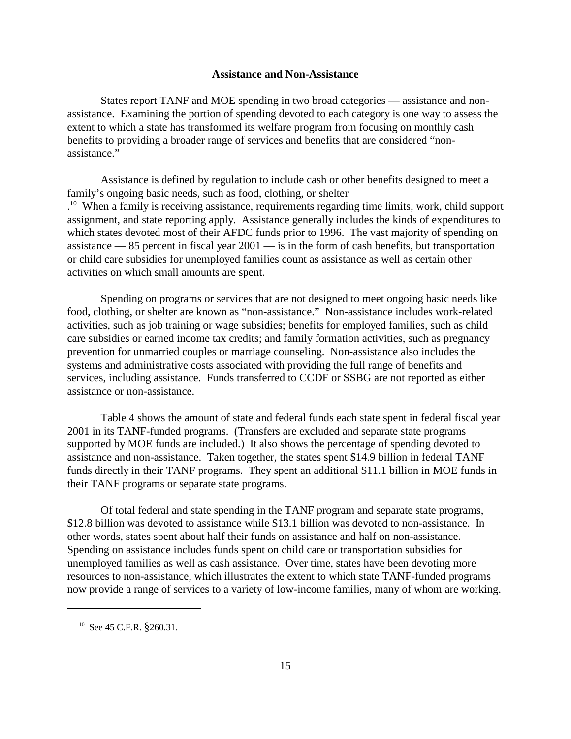### **Assistance and Non-Assistance**

States report TANF and MOE spending in two broad categories — assistance and nonassistance. Examining the portion of spending devoted to each category is one way to assess the extent to which a state has transformed its welfare program from focusing on monthly cash benefits to providing a broader range of services and benefits that are considered "nonassistance."

Assistance is defined by regulation to include cash or other benefits designed to meet a family's ongoing basic needs, such as food, clothing, or shelter <sup>10</sup> When a family is receiving assistance, requirements regarding time limits, work, child support assignment, and state reporting apply. Assistance generally includes the kinds of expenditures to which states devoted most of their AFDC funds prior to 1996. The vast majority of spending on assistance — 85 percent in fiscal year 2001 — is in the form of cash benefits, but transportation or child care subsidies for unemployed families count as assistance as well as certain other activities on which small amounts are spent.

Spending on programs or services that are not designed to meet ongoing basic needs like food, clothing, or shelter are known as "non-assistance." Non-assistance includes work-related activities, such as job training or wage subsidies; benefits for employed families, such as child care subsidies or earned income tax credits; and family formation activities, such as pregnancy prevention for unmarried couples or marriage counseling. Non-assistance also includes the systems and administrative costs associated with providing the full range of benefits and services, including assistance. Funds transferred to CCDF or SSBG are not reported as either assistance or non-assistance.

Table 4 shows the amount of state and federal funds each state spent in federal fiscal year 2001 in its TANF-funded programs. (Transfers are excluded and separate state programs supported by MOE funds are included.) It also shows the percentage of spending devoted to assistance and non-assistance. Taken together, the states spent \$14.9 billion in federal TANF funds directly in their TANF programs. They spent an additional \$11.1 billion in MOE funds in their TANF programs or separate state programs.

Of total federal and state spending in the TANF program and separate state programs, \$12.8 billion was devoted to assistance while \$13.1 billion was devoted to non-assistance. In other words, states spent about half their funds on assistance and half on non-assistance. Spending on assistance includes funds spent on child care or transportation subsidies for unemployed families as well as cash assistance. Over time, states have been devoting more resources to non-assistance, which illustrates the extent to which state TANF-funded programs now provide a range of services to a variety of low-income families, many of whom are working.

<sup>&</sup>lt;sup>10</sup> See 45 C.F.R. §260.31.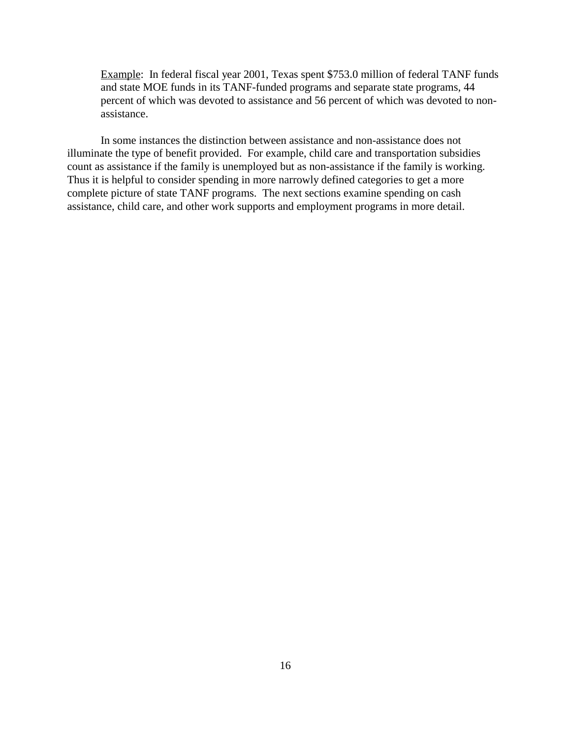Example: In federal fiscal year 2001, Texas spent \$753.0 million of federal TANF funds and state MOE funds in its TANF-funded programs and separate state programs, 44 percent of which was devoted to assistance and 56 percent of which was devoted to nonassistance.

In some instances the distinction between assistance and non-assistance does not illuminate the type of benefit provided. For example, child care and transportation subsidies count as assistance if the family is unemployed but as non-assistance if the family is working. Thus it is helpful to consider spending in more narrowly defined categories to get a more complete picture of state TANF programs. The next sections examine spending on cash assistance, child care, and other work supports and employment programs in more detail.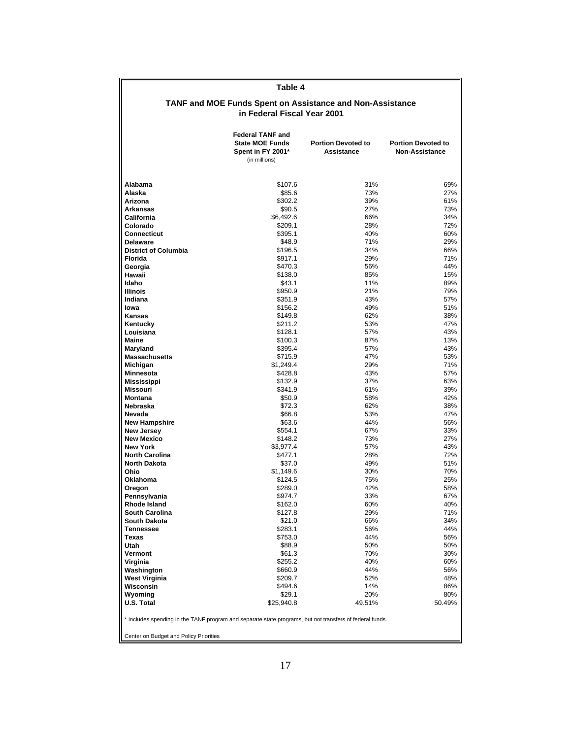| Table 4                                                                                                  |                                                                                         |                                                                  |                                                    |  |  |  |
|----------------------------------------------------------------------------------------------------------|-----------------------------------------------------------------------------------------|------------------------------------------------------------------|----------------------------------------------------|--|--|--|
|                                                                                                          |                                                                                         | <b>TANF and MOE Funds Spent on Assistance and Non-Assistance</b> |                                                    |  |  |  |
|                                                                                                          | in Federal Fiscal Year 2001                                                             |                                                                  |                                                    |  |  |  |
|                                                                                                          | <b>Federal TANF and</b><br><b>State MOE Funds</b><br>Spent in FY 2001*<br>(in millions) | <b>Portion Devoted to</b><br><b>Assistance</b>                   | <b>Portion Devoted to</b><br><b>Non-Assistance</b> |  |  |  |
| Alabama                                                                                                  | \$107.6                                                                                 | 31%                                                              | 69%                                                |  |  |  |
| Alaska                                                                                                   | \$85.6                                                                                  | 73%                                                              | 27%                                                |  |  |  |
| Arizona                                                                                                  | \$302.2                                                                                 | 39%                                                              | 61%                                                |  |  |  |
| <b>Arkansas</b><br>California                                                                            | \$90.5<br>\$6,492.6                                                                     | 27%<br>66%                                                       | 73%<br>34%                                         |  |  |  |
| Colorado                                                                                                 | \$209.1                                                                                 | 28%                                                              | 72%                                                |  |  |  |
| <b>Connecticut</b>                                                                                       | \$395.1                                                                                 | 40%                                                              | 60%                                                |  |  |  |
| <b>Delaware</b>                                                                                          | \$48.9                                                                                  | 71%                                                              | 29%                                                |  |  |  |
| <b>District of Columbia</b>                                                                              | \$196.5                                                                                 | 34%                                                              | 66%                                                |  |  |  |
| <b>Florida</b>                                                                                           | \$917.1                                                                                 | 29%                                                              | 71%                                                |  |  |  |
| Georgia<br>Hawaii                                                                                        | \$470.3<br>\$138.0                                                                      | 56%<br>85%                                                       | 44%<br>15%                                         |  |  |  |
| Idaho                                                                                                    | \$43.1                                                                                  | 11%                                                              | 89%                                                |  |  |  |
| <b>Illinois</b>                                                                                          | \$950.9                                                                                 | 21%                                                              | 79%                                                |  |  |  |
| Indiana                                                                                                  | \$351.9                                                                                 | 43%                                                              | 57%                                                |  |  |  |
| lowa                                                                                                     | \$156.2                                                                                 | 49%                                                              | 51%                                                |  |  |  |
| <b>Kansas</b>                                                                                            | \$149.8                                                                                 | 62%                                                              | 38%                                                |  |  |  |
| Kentucky<br>Louisiana                                                                                    | \$211.2<br>\$128.1                                                                      | 53%<br>57%                                                       | 47%<br>43%                                         |  |  |  |
| Maine                                                                                                    | \$100.3                                                                                 | 87%                                                              | 13%                                                |  |  |  |
| Maryland                                                                                                 | \$395.4                                                                                 | 57%                                                              | 43%                                                |  |  |  |
| <b>Massachusetts</b>                                                                                     | \$715.9                                                                                 | 47%                                                              | 53%                                                |  |  |  |
| Michigan                                                                                                 | \$1,249.4                                                                               | 29%                                                              | 71%                                                |  |  |  |
| <b>Minnesota</b>                                                                                         | \$428.8                                                                                 | 43%                                                              | 57%<br>63%                                         |  |  |  |
| <b>Mississippi</b><br>Missouri                                                                           | \$132.9<br>\$341.9                                                                      | 37%<br>61%                                                       | 39%                                                |  |  |  |
| <b>Montana</b>                                                                                           | \$50.9                                                                                  | 58%                                                              | 42%                                                |  |  |  |
| Nebraska                                                                                                 | \$72.3                                                                                  | 62%                                                              | 38%                                                |  |  |  |
| Nevada                                                                                                   | \$66.8                                                                                  | 53%                                                              | 47%                                                |  |  |  |
| <b>New Hampshire</b>                                                                                     | \$63.6                                                                                  | 44%                                                              | 56%                                                |  |  |  |
| <b>New Jersey</b><br><b>New Mexico</b>                                                                   | \$554.1<br>\$148.2                                                                      | 67%<br>73%                                                       | 33%<br>27%                                         |  |  |  |
| <b>New York</b>                                                                                          | \$3,977.4                                                                               | 57%                                                              | 43%                                                |  |  |  |
| <b>North Carolina</b>                                                                                    | \$477.1                                                                                 | 28%                                                              | 72%                                                |  |  |  |
| <b>North Dakota</b>                                                                                      | \$37.0                                                                                  | 49%                                                              | 51%                                                |  |  |  |
| Ohio                                                                                                     | \$1,149.6                                                                               | 30%                                                              | 70%                                                |  |  |  |
| Oklahoma                                                                                                 | \$124.5<br>\$289.0                                                                      | 75%<br>42%                                                       | 25%<br>58%                                         |  |  |  |
| Oregon<br>Pennsylvania                                                                                   | \$974.7                                                                                 | 33%                                                              | 67%                                                |  |  |  |
| Rhode Island                                                                                             | \$162.0                                                                                 | 60%                                                              | 40%                                                |  |  |  |
| South Carolina                                                                                           | \$127.8                                                                                 | 29%                                                              | 71%                                                |  |  |  |
| <b>South Dakota</b>                                                                                      | \$21.0                                                                                  | 66%                                                              | 34%                                                |  |  |  |
| <b>Tennessee</b>                                                                                         | \$283.1                                                                                 | 56%                                                              | 44%                                                |  |  |  |
| Texas<br>Utah                                                                                            | \$753.0<br>\$88.9                                                                       | 44%<br>50%                                                       | 56%<br>50%                                         |  |  |  |
| Vermont                                                                                                  | \$61.3                                                                                  | 70%                                                              | 30%                                                |  |  |  |
| Virginia                                                                                                 | \$255.2                                                                                 | 40%                                                              | 60%                                                |  |  |  |
| Washington                                                                                               | \$660.9                                                                                 | 44%                                                              | 56%                                                |  |  |  |
| West Virginia                                                                                            | \$209.7                                                                                 | 52%                                                              | 48%                                                |  |  |  |
| Wisconsin<br>Wyoming                                                                                     | \$494.6<br>\$29.1                                                                       | 14%<br>20%                                                       | 86%<br>80%                                         |  |  |  |
| U.S. Total                                                                                               | \$25,940.8                                                                              | 49.51%                                                           | 50.49%                                             |  |  |  |
| * Includes spending in the TANF program and separate state programs, but not transfers of federal funds. |                                                                                         |                                                                  |                                                    |  |  |  |
| Center on Budget and Policy Priorities                                                                   |                                                                                         |                                                                  |                                                    |  |  |  |
|                                                                                                          |                                                                                         |                                                                  |                                                    |  |  |  |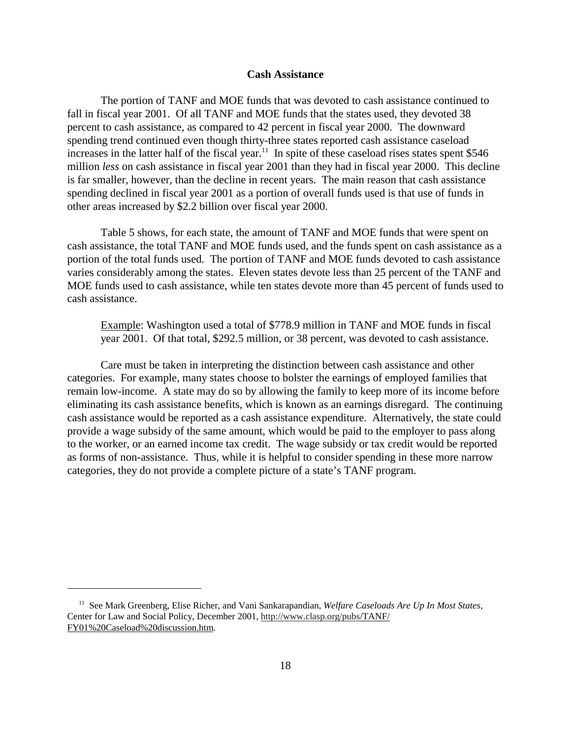### **Cash Assistance**

The portion of TANF and MOE funds that was devoted to cash assistance continued to fall in fiscal year 2001. Of all TANF and MOE funds that the states used, they devoted 38 percent to cash assistance, as compared to 42 percent in fiscal year 2000. The downward spending trend continued even though thirty-three states reported cash assistance caseload increases in the latter half of the fiscal year.<sup>11</sup> In spite of these caseload rises states spent \$546 million *less* on cash assistance in fiscal year 2001 than they had in fiscal year 2000. This decline is far smaller, however, than the decline in recent years. The main reason that cash assistance spending declined in fiscal year 2001 as a portion of overall funds used is that use of funds in other areas increased by \$2.2 billion over fiscal year 2000.

Table 5 shows, for each state, the amount of TANF and MOE funds that were spent on cash assistance, the total TANF and MOE funds used, and the funds spent on cash assistance as a portion of the total funds used. The portion of TANF and MOE funds devoted to cash assistance varies considerably among the states. Eleven states devote less than 25 percent of the TANF and MOE funds used to cash assistance, while ten states devote more than 45 percent of funds used to cash assistance.

Example: Washington used a total of \$778.9 million in TANF and MOE funds in fiscal year 2001. Of that total, \$292.5 million, or 38 percent, was devoted to cash assistance.

Care must be taken in interpreting the distinction between cash assistance and other categories. For example, many states choose to bolster the earnings of employed families that remain low-income. A state may do so by allowing the family to keep more of its income before eliminating its cash assistance benefits, which is known as an earnings disregard. The continuing cash assistance would be reported as a cash assistance expenditure. Alternatively, the state could provide a wage subsidy of the same amount, which would be paid to the employer to pass along to the worker, or an earned income tax credit. The wage subsidy or tax credit would be reported as forms of non-assistance. Thus, while it is helpful to consider spending in these more narrow categories, they do not provide a complete picture of a state's TANF program.

 <sup>11</sup> See Mark Greenberg, Elise Richer, and Vani Sankarapandian, *Welfare Caseloads Are Up In Most States*, Center for Law and Social Policy, December 2001, http://www.clasp.org/pubs/TANF/ FY01%20Caseload%20discussion.htm.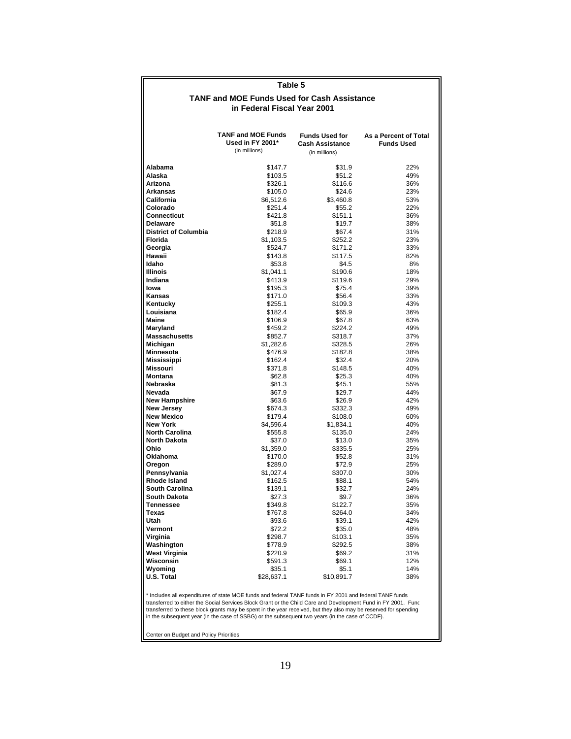| Table 5                                      |                                                                                                                                                                                                                          |                                                                  |                                            |  |  |  |  |
|----------------------------------------------|--------------------------------------------------------------------------------------------------------------------------------------------------------------------------------------------------------------------------|------------------------------------------------------------------|--------------------------------------------|--|--|--|--|
|                                              | <b>TANF and MOE Funds Used for Cash Assistance</b>                                                                                                                                                                       |                                                                  |                                            |  |  |  |  |
|                                              | in Federal Fiscal Year 2001                                                                                                                                                                                              |                                                                  |                                            |  |  |  |  |
|                                              |                                                                                                                                                                                                                          |                                                                  |                                            |  |  |  |  |
|                                              | <b>TANF and MOE Funds</b><br>Used in FY 2001*<br>(in millions)                                                                                                                                                           | <b>Funds Used for</b><br><b>Cash Assistance</b><br>(in millions) | As a Percent of Total<br><b>Funds Used</b> |  |  |  |  |
|                                              |                                                                                                                                                                                                                          |                                                                  |                                            |  |  |  |  |
| Alabama                                      | \$147.7                                                                                                                                                                                                                  | \$31.9                                                           | 22%                                        |  |  |  |  |
| Alaska<br>Arizona                            | \$103.5<br>\$326.1                                                                                                                                                                                                       | \$51.2<br>\$116.6                                                | 49%<br>36%                                 |  |  |  |  |
| Arkansas                                     | \$105.0                                                                                                                                                                                                                  | \$24.6                                                           | 23%                                        |  |  |  |  |
| California                                   | \$6,512.6                                                                                                                                                                                                                | \$3,460.8                                                        | 53%                                        |  |  |  |  |
| Colorado                                     | \$251.4                                                                                                                                                                                                                  | \$55.2                                                           | 22%                                        |  |  |  |  |
| Connecticut                                  | \$421.8                                                                                                                                                                                                                  | \$151.1                                                          | 36%                                        |  |  |  |  |
| <b>Delaware</b>                              | \$51.8                                                                                                                                                                                                                   | \$19.7                                                           | 38%                                        |  |  |  |  |
| <b>District of Columbia</b>                  | \$218.9                                                                                                                                                                                                                  | \$67.4                                                           | 31%                                        |  |  |  |  |
| <b>Florida</b>                               | \$1,103.5                                                                                                                                                                                                                | \$252.2                                                          | 23%                                        |  |  |  |  |
| Georgia<br>Hawaii                            | \$524.7<br>\$143.8                                                                                                                                                                                                       | \$171.2<br>\$117.5                                               | 33%<br>82%                                 |  |  |  |  |
| Idaho                                        | \$53.8                                                                                                                                                                                                                   | \$4.5                                                            | 8%                                         |  |  |  |  |
| <b>Illinois</b>                              | \$1,041.1                                                                                                                                                                                                                | \$190.6                                                          | 18%                                        |  |  |  |  |
| Indiana                                      | \$413.9                                                                                                                                                                                                                  | \$119.6                                                          | 29%                                        |  |  |  |  |
| lowa                                         | \$195.3                                                                                                                                                                                                                  | \$75.4                                                           | 39%                                        |  |  |  |  |
| Kansas                                       | \$171.0                                                                                                                                                                                                                  | \$56.4                                                           | 33%                                        |  |  |  |  |
| Kentucky                                     | \$255.1                                                                                                                                                                                                                  | \$109.3                                                          | 43%                                        |  |  |  |  |
| Louisiana                                    | \$182.4                                                                                                                                                                                                                  | \$65.9                                                           | 36%                                        |  |  |  |  |
| Maine                                        | \$106.9                                                                                                                                                                                                                  | \$67.8                                                           | 63%                                        |  |  |  |  |
| Maryland                                     | \$459.2                                                                                                                                                                                                                  | \$224.2                                                          | 49%                                        |  |  |  |  |
| <b>Massachusetts</b>                         | \$852.7                                                                                                                                                                                                                  | \$318.7<br>\$328.5                                               | 37%                                        |  |  |  |  |
| Michigan<br>Minnesota                        | \$1,282.6<br>\$476.9                                                                                                                                                                                                     | \$182.8                                                          | 26%<br>38%                                 |  |  |  |  |
| Mississippi                                  | \$162.4                                                                                                                                                                                                                  | \$32.4                                                           | 20%                                        |  |  |  |  |
| Missouri                                     | \$371.8                                                                                                                                                                                                                  | \$148.5                                                          | 40%                                        |  |  |  |  |
| <b>Montana</b>                               | \$62.8                                                                                                                                                                                                                   | \$25.3                                                           | 40%                                        |  |  |  |  |
| Nebraska                                     | \$81.3                                                                                                                                                                                                                   | \$45.1                                                           | 55%                                        |  |  |  |  |
| Nevada                                       | \$67.9                                                                                                                                                                                                                   | \$29.7                                                           | 44%                                        |  |  |  |  |
| <b>New Hampshire</b>                         | \$63.6                                                                                                                                                                                                                   | \$26.9                                                           | 42%                                        |  |  |  |  |
| New Jersey                                   | \$674.3                                                                                                                                                                                                                  | \$332.3                                                          | 49%                                        |  |  |  |  |
| <b>New Mexico</b>                            | \$179.4                                                                                                                                                                                                                  | \$108.0                                                          | 60%                                        |  |  |  |  |
| <b>New York</b>                              | \$4,596.4                                                                                                                                                                                                                | \$1,834.1                                                        | 40%                                        |  |  |  |  |
| <b>North Carolina</b><br><b>North Dakota</b> | \$555.8<br>\$37.0                                                                                                                                                                                                        | \$135.0<br>\$13.0                                                | 24%<br>35%                                 |  |  |  |  |
| Ohio                                         | \$1,359.0                                                                                                                                                                                                                | \$335.5                                                          | 25%                                        |  |  |  |  |
| <b>Oklahoma</b>                              | \$170.0                                                                                                                                                                                                                  | \$52.8                                                           | 31%                                        |  |  |  |  |
| Oregon                                       | \$289.0                                                                                                                                                                                                                  | \$72.9                                                           | 25%                                        |  |  |  |  |
| Pennsylvania                                 | \$1,027.4                                                                                                                                                                                                                | \$307.0                                                          | 30%                                        |  |  |  |  |
| <b>Rhode Island</b>                          | \$162.5                                                                                                                                                                                                                  | \$88.1                                                           | 54%                                        |  |  |  |  |
| <b>South Carolina</b>                        | \$139.1                                                                                                                                                                                                                  | \$32.7                                                           | 24%                                        |  |  |  |  |
| <b>South Dakota</b>                          | \$27.3                                                                                                                                                                                                                   | \$9.7                                                            | 36%                                        |  |  |  |  |
| <b>Tennessee</b>                             | \$349.8                                                                                                                                                                                                                  | \$122.7                                                          | 35%                                        |  |  |  |  |
| Texas<br>Utah                                | \$767.8<br>\$93.6                                                                                                                                                                                                        | \$264.0<br>\$39.1                                                | 34%<br>42%                                 |  |  |  |  |
| Vermont                                      | \$72.2                                                                                                                                                                                                                   | \$35.0                                                           | 48%                                        |  |  |  |  |
| Virginia                                     | \$298.7                                                                                                                                                                                                                  | \$103.1                                                          | 35%                                        |  |  |  |  |
| Washington                                   | \$778.9                                                                                                                                                                                                                  | \$292.5                                                          | 38%                                        |  |  |  |  |
| <b>West Virginia</b>                         | \$220.9                                                                                                                                                                                                                  | \$69.2                                                           | 31%                                        |  |  |  |  |
| Wisconsin                                    | \$591.3                                                                                                                                                                                                                  | \$69.1                                                           | 12%                                        |  |  |  |  |
| Wyoming                                      | \$35.1                                                                                                                                                                                                                   | \$5.1                                                            | 14%                                        |  |  |  |  |
| U.S. Total                                   | \$28,637.1                                                                                                                                                                                                               | \$10,891.7                                                       | 38%                                        |  |  |  |  |
|                                              | * Includes all expenditures of state MOE funds and federal TANF funds in FY 2001 and federal TANF funds<br>transferred to either the Social Services Block Grant or the Child Care and Development Fund in FY 2001. Func |                                                                  |                                            |  |  |  |  |

transferred to either the Social Services Block Grant or the Child Care and Development Fund in FY 2001. Func<br>transferred to these block grants may be spent in the year received, but they also may be reserved for spending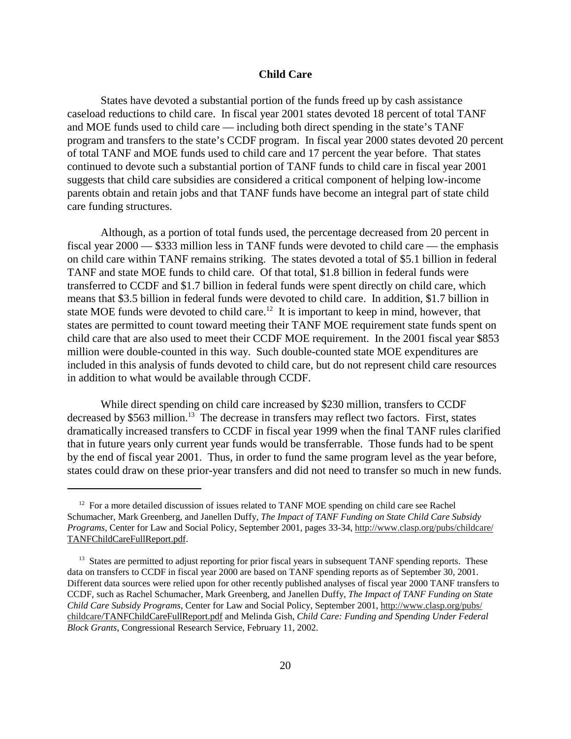## **Child Care**

States have devoted a substantial portion of the funds freed up by cash assistance caseload reductions to child care. In fiscal year 2001 states devoted 18 percent of total TANF and MOE funds used to child care — including both direct spending in the state's TANF program and transfers to the state's CCDF program. In fiscal year 2000 states devoted 20 percent of total TANF and MOE funds used to child care and 17 percent the year before. That states continued to devote such a substantial portion of TANF funds to child care in fiscal year 2001 suggests that child care subsidies are considered a critical component of helping low-income parents obtain and retain jobs and that TANF funds have become an integral part of state child care funding structures.

Although, as a portion of total funds used, the percentage decreased from 20 percent in fiscal year 2000 — \$333 million less in TANF funds were devoted to child care — the emphasis on child care within TANF remains striking. The states devoted a total of \$5.1 billion in federal TANF and state MOE funds to child care. Of that total, \$1.8 billion in federal funds were transferred to CCDF and \$1.7 billion in federal funds were spent directly on child care, which means that \$3.5 billion in federal funds were devoted to child care. In addition, \$1.7 billion in state MOE funds were devoted to child care.<sup>12</sup> It is important to keep in mind, however, that states are permitted to count toward meeting their TANF MOE requirement state funds spent on child care that are also used to meet their CCDF MOE requirement. In the 2001 fiscal year \$853 million were double-counted in this way. Such double-counted state MOE expenditures are included in this analysis of funds devoted to child care, but do not represent child care resources in addition to what would be available through CCDF.

While direct spending on child care increased by \$230 million, transfers to CCDF decreased by  $$563$  million.<sup>13</sup> The decrease in transfers may reflect two factors. First, states dramatically increased transfers to CCDF in fiscal year 1999 when the final TANF rules clarified that in future years only current year funds would be transferrable. Those funds had to be spent by the end of fiscal year 2001. Thus, in order to fund the same program level as the year before, states could draw on these prior-year transfers and did not need to transfer so much in new funds.

 $12$  For a more detailed discussion of issues related to TANF MOE spending on child care see Rachel Schumacher, Mark Greenberg, and Janellen Duffy, *The Impact of TANF Funding on State Child Care Subsidy Programs*, Center for Law and Social Policy, September 2001, pages 33-34, http://www.clasp.org/pubs/childcare/ TANFChildCareFullReport.pdf.

<sup>&</sup>lt;sup>13</sup> States are permitted to adjust reporting for prior fiscal years in subsequent TANF spending reports. These data on transfers to CCDF in fiscal year 2000 are based on TANF spending reports as of September 30, 2001. Different data sources were relied upon for other recently published analyses of fiscal year 2000 TANF transfers to CCDF, such as Rachel Schumacher, Mark Greenberg, and Janellen Duffy, *The Impact of TANF Funding on State Child Care Subsidy Programs*, Center for Law and Social Policy, September 2001, http://www.clasp.org/pubs/ childcare/TANFChildCareFullReport.pdf and Melinda Gish, *Child Care: Funding and Spending Under Federal Block Grants*, Congressional Research Service, February 11, 2002.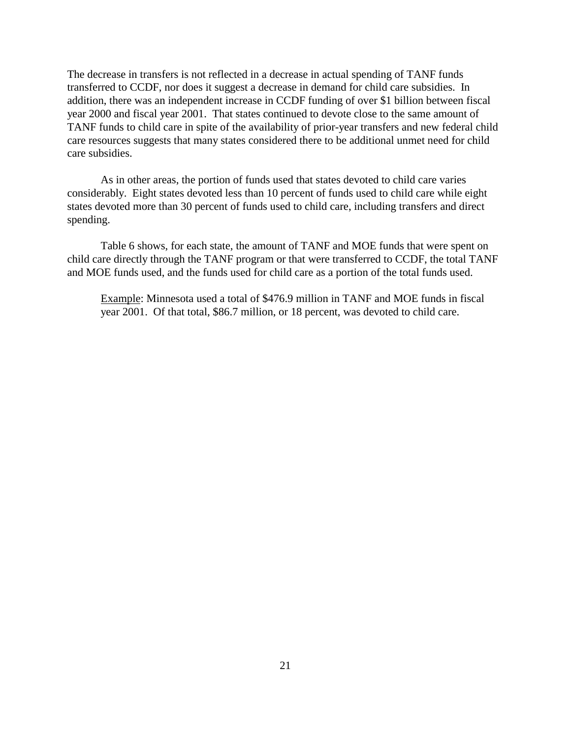The decrease in transfers is not reflected in a decrease in actual spending of TANF funds transferred to CCDF, nor does it suggest a decrease in demand for child care subsidies. In addition, there was an independent increase in CCDF funding of over \$1 billion between fiscal year 2000 and fiscal year 2001. That states continued to devote close to the same amount of TANF funds to child care in spite of the availability of prior-year transfers and new federal child care resources suggests that many states considered there to be additional unmet need for child care subsidies.

As in other areas, the portion of funds used that states devoted to child care varies considerably. Eight states devoted less than 10 percent of funds used to child care while eight states devoted more than 30 percent of funds used to child care, including transfers and direct spending.

Table 6 shows, for each state, the amount of TANF and MOE funds that were spent on child care directly through the TANF program or that were transferred to CCDF, the total TANF and MOE funds used, and the funds used for child care as a portion of the total funds used.

Example: Minnesota used a total of \$476.9 million in TANF and MOE funds in fiscal year 2001. Of that total, \$86.7 million, or 18 percent, was devoted to child care.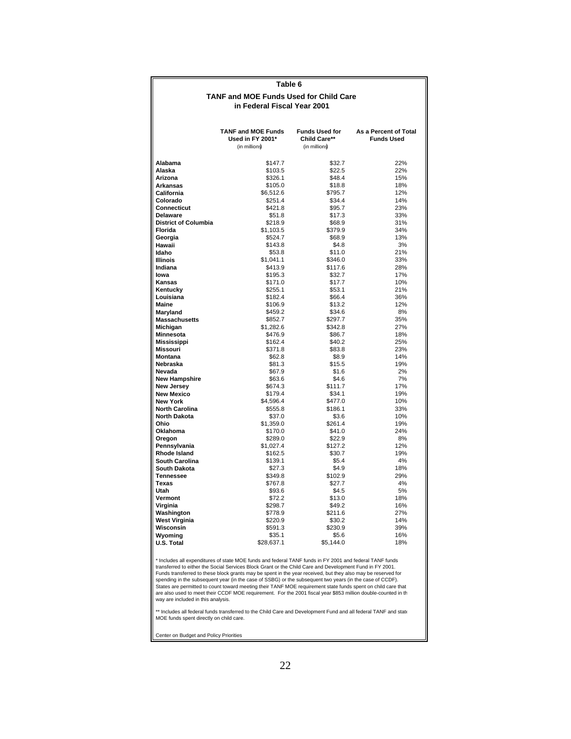### **Table 6**

#### **in Federal Fiscal Year 2001 TANF and MOE Funds Used for Child Care**

|                                              | <b>TANF and MOE Funds</b><br>Used in FY 2001*<br>(in millions) | <b>Funds Used for</b><br>Child Care**<br>(in millions | As a Percent of Total<br><b>Funds Used</b> |
|----------------------------------------------|----------------------------------------------------------------|-------------------------------------------------------|--------------------------------------------|
| Alabama                                      | \$147.7                                                        | \$32.7                                                | 22%                                        |
| Alaska                                       | \$103.5                                                        | \$22.5                                                | 22%                                        |
| Arizona                                      | \$326.1                                                        | \$48.4                                                | 15%                                        |
| Arkansas                                     | \$105.0                                                        | \$18.8                                                | 18%                                        |
| California                                   | \$6,512.6                                                      | \$795.7                                               | 12%                                        |
| Colorado                                     | \$251.4                                                        | \$34.4                                                | 14%                                        |
| <b>Connecticut</b>                           | \$421.8                                                        | \$95.7                                                | 23%                                        |
| <b>Delaware</b>                              | \$51.8                                                         | \$17.3                                                | 33%                                        |
| <b>District of Columbia</b>                  | \$218.9                                                        | \$68.9                                                | 31%                                        |
| Florida                                      | \$1,103.5                                                      | \$379.9                                               | 34%                                        |
| Georgia                                      | \$524.7                                                        | \$68.9                                                | 13%                                        |
| Hawaii                                       | \$143.8                                                        | \$4.8                                                 | 3%                                         |
| Idaho                                        | \$53.8                                                         | \$11.0                                                | 21%                                        |
| <b>Illinois</b>                              | \$1,041.1                                                      | \$346.0                                               | 33%                                        |
| Indiana                                      | \$413.9                                                        | \$117.6                                               | 28%                                        |
| Iowa                                         | \$195.3                                                        | \$32.7                                                | 17%                                        |
| <b>Kansas</b>                                | \$171.0                                                        | \$17.7                                                | 10%                                        |
| Kentucky                                     | \$255.1<br>\$182.4                                             | \$53.1<br>\$66.4                                      | 21%<br>36%                                 |
| Louisiana                                    |                                                                |                                                       | 12%                                        |
| Maine<br>Maryland                            | \$106.9<br>\$459.2                                             | \$13.2<br>\$34.6                                      | 8%                                         |
| <b>Massachusetts</b>                         | \$852.7                                                        | \$297.7                                               | 35%                                        |
| Michigan                                     | \$1,282.6                                                      | \$342.8                                               | 27%                                        |
| Minnesota                                    | \$476.9                                                        | \$86.7                                                | 18%                                        |
| Mississippi                                  | \$162.4                                                        | \$40.2                                                | 25%                                        |
| <b>Missouri</b>                              | \$371.8                                                        | \$83.8                                                | 23%                                        |
| <b>Montana</b>                               | \$62.8                                                         | \$8.9                                                 | 14%                                        |
| Nebraska                                     | \$81.3                                                         | \$15.5                                                | 19%                                        |
| Nevada                                       | \$67.9                                                         | \$1.6                                                 | 2%                                         |
| <b>New Hampshire</b>                         | \$63.6                                                         | \$4.6                                                 | 7%                                         |
| <b>New Jersev</b>                            | \$674.3                                                        | \$111.7                                               | 17%                                        |
| <b>New Mexico</b>                            | \$179.4                                                        | \$34.1                                                | 19%                                        |
| <b>New York</b>                              | \$4,596.4                                                      | \$477.0                                               | 10%                                        |
| <b>North Carolina</b>                        | \$555.8                                                        | \$186.1                                               | 33%                                        |
| <b>North Dakota</b>                          | \$37.0                                                         | \$3.6                                                 | 10%                                        |
| Ohio                                         | \$1,359.0                                                      | \$261.4                                               | 19%                                        |
| Oklahoma                                     | \$170.0                                                        | \$41.0                                                | 24%                                        |
| Oregon                                       | \$289.0                                                        | \$22.9                                                | 8%                                         |
| Pennsylvania                                 | \$1,027.4                                                      | \$127.2                                               | 12%                                        |
| <b>Rhode Island</b>                          | \$162.5                                                        | \$30.7<br>\$5.4                                       | 19%<br>4%                                  |
| <b>South Carolina</b><br><b>South Dakota</b> | \$139.1<br>\$27.3                                              | \$4.9                                                 | 18%                                        |
| <b>Tennessee</b>                             | \$349.8                                                        | \$102.9                                               | 29%                                        |
| Texas                                        | \$767.8                                                        | \$27.7                                                | 4%                                         |
| Utah                                         | \$93.6                                                         | \$4.5                                                 | 5%                                         |
| Vermont                                      | \$72.2                                                         | \$13.0                                                | 18%                                        |
| Virginia                                     | \$298.7                                                        | \$49.2                                                | 16%                                        |
| Washington                                   | \$778.9                                                        | \$211.6                                               | 27%                                        |
| West Virginia                                | \$220.9                                                        | \$30.2                                                | 14%                                        |
| Wisconsin                                    | \$591.3                                                        | \$230.9                                               | 39%                                        |
| Wyoming                                      | \$35.1                                                         | \$5.6                                                 | 16%                                        |
| <b>U.S. Total</b>                            | \$28,637.1                                                     | \$5,144.0                                             | 18%                                        |
|                                              |                                                                |                                                       |                                            |

Funds transferred to these block grants may be spent in the year received, but they also may be reserved for<br>Spending in the subsequent year (in the case of SSBG) or the subsequent two years (in the case of CCDF).<br>States a transferred to either the Social Services Block Grant or the Child Care and Development Fund in FY 2001. \* Includes all expenditures of state MOE funds and federal TANF funds in FY 2001 and federal TANF funds

MOE funds spent directly on child care. \*\* Includes all federal funds transferred to the Child Care and Development Fund and all federal TANF and state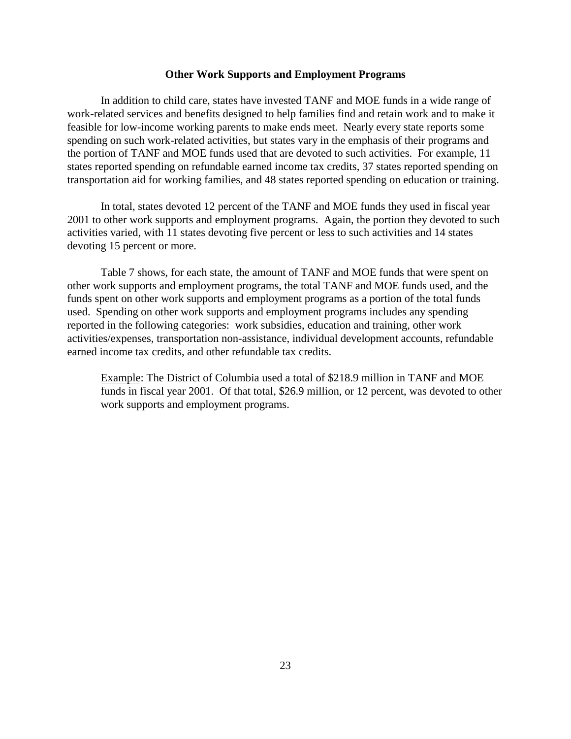### **Other Work Supports and Employment Programs**

In addition to child care, states have invested TANF and MOE funds in a wide range of work-related services and benefits designed to help families find and retain work and to make it feasible for low-income working parents to make ends meet. Nearly every state reports some spending on such work-related activities, but states vary in the emphasis of their programs and the portion of TANF and MOE funds used that are devoted to such activities. For example, 11 states reported spending on refundable earned income tax credits, 37 states reported spending on transportation aid for working families, and 48 states reported spending on education or training.

In total, states devoted 12 percent of the TANF and MOE funds they used in fiscal year 2001 to other work supports and employment programs. Again, the portion they devoted to such activities varied, with 11 states devoting five percent or less to such activities and 14 states devoting 15 percent or more.

Table 7 shows, for each state, the amount of TANF and MOE funds that were spent on other work supports and employment programs, the total TANF and MOE funds used, and the funds spent on other work supports and employment programs as a portion of the total funds used. Spending on other work supports and employment programs includes any spending reported in the following categories: work subsidies, education and training, other work activities/expenses, transportation non-assistance, individual development accounts, refundable earned income tax credits, and other refundable tax credits.

Example: The District of Columbia used a total of \$218.9 million in TANF and MOE funds in fiscal year 2001. Of that total, \$26.9 million, or 12 percent, was devoted to other work supports and employment programs.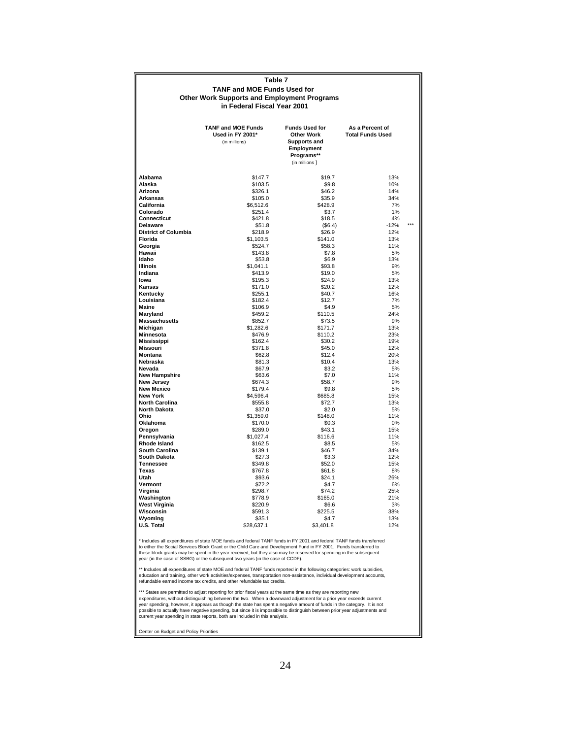|                                        | Table 7                                            |                          |                         |  |
|----------------------------------------|----------------------------------------------------|--------------------------|-------------------------|--|
|                                        | <b>TANF and MOE Funds Used for</b>                 |                          |                         |  |
|                                        | <b>Other Work Supports and Employment Programs</b> |                          |                         |  |
|                                        | in Federal Fiscal Year 2001                        |                          |                         |  |
|                                        |                                                    |                          |                         |  |
|                                        |                                                    |                          |                         |  |
|                                        | <b>TANF and MOE Funds</b>                          | <b>Funds Used for</b>    | As a Percent of         |  |
|                                        | Used in FY 2001*                                   | <b>Other Work</b>        | <b>Total Funds Used</b> |  |
|                                        | (in millions)                                      | <b>Supports and</b>      |                         |  |
|                                        |                                                    | Employment<br>Programs** |                         |  |
|                                        |                                                    | (in millions)            |                         |  |
|                                        |                                                    |                          |                         |  |
| Alabama                                | \$147.7                                            | \$19.7                   | 13%                     |  |
| Alaska                                 | \$103.5                                            | \$9.8                    | 10%                     |  |
| Arizona                                | \$326.1                                            | \$46.2                   | 14%                     |  |
| <b>Arkansas</b>                        | \$105.0                                            | \$35.9                   | 34%                     |  |
| California                             | \$6,512.6                                          | \$428.9                  | 7%                      |  |
| Colorado                               | \$251.4                                            | \$3.7                    | 1%                      |  |
| Connecticut                            | \$421.8                                            | \$18.5                   | 4%                      |  |
| <b>Delaware</b>                        | \$51.8                                             | (\$6.4)                  | $-12%$                  |  |
| <b>District of Columbia</b>            | \$218.9                                            | \$26.9                   | 12%                     |  |
| Florida                                | \$1,103.5                                          | \$141.0                  | 13%                     |  |
| Georgia<br>Hawaii                      | \$524.7<br>\$143.8                                 | \$58.3<br>\$7.8          | 11%<br>5%               |  |
| Idaho                                  | \$53.8                                             | \$6.9                    | 13%                     |  |
| <b>Illinois</b>                        | \$1,041.1                                          | \$93.8                   | 9%                      |  |
| Indiana                                | \$413.9                                            | \$19.0                   | 5%                      |  |
| lowa                                   | \$195.3                                            | \$24.9                   | 13%                     |  |
| <b>Kansas</b>                          | \$171.0                                            | \$20.2                   | 12%                     |  |
| Kentucky                               | \$255.1                                            | \$40.7                   | 16%                     |  |
| Louisiana                              | \$182.4                                            | \$12.7                   | 7%                      |  |
| Maine                                  | \$106.9                                            | \$4.9                    | 5%                      |  |
| Maryland                               | \$459.2                                            | \$110.5                  | 24%                     |  |
| <b>Massachusetts</b>                   | \$852.7                                            | \$73.5                   | 9%                      |  |
| Michigan                               | \$1,282.6                                          | \$171.7                  | 13%                     |  |
| <b>Minnesota</b><br><b>Mississippi</b> | \$476.9<br>\$162.4                                 | \$110.2<br>\$30.2        | 23%<br>19%              |  |
| Missouri                               | \$371.8                                            | \$45.0                   | 12%                     |  |
| <b>Montana</b>                         | \$62.8                                             | \$12.4                   | 20%                     |  |
| Nebraska                               | \$81.3                                             | \$10.4                   | 13%                     |  |
| Nevada                                 | \$67.9                                             | \$3.2                    | 5%                      |  |
| <b>New Hampshire</b>                   | \$63.6                                             | \$7.0                    | 11%                     |  |
| <b>New Jersey</b>                      | \$674.3                                            | \$58.7                   | 9%                      |  |
| <b>New Mexico</b>                      | \$179.4                                            | \$9.8                    | 5%                      |  |
| <b>New York</b>                        | \$4,596.4                                          | \$685.8                  | 15%                     |  |
| <b>North Carolina</b>                  | \$555.8                                            | \$72.7                   | 13%                     |  |
| <b>North Dakota</b><br>Ohio            | \$37.0                                             | \$2.0                    | 5%                      |  |
| Oklahoma                               | \$1,359.0<br>\$170.0                               | \$148.0<br>\$0.3         | 11%<br>0%               |  |
| Oregon                                 | \$289.0                                            | \$43.1                   | 15%                     |  |
| Pennsylvania                           | \$1,027.4                                          | \$116.6                  | 11%                     |  |
| Rhode Island                           | \$162.5                                            | \$8.5                    | 5%                      |  |
| <b>South Carolina</b>                  | \$139.1                                            | \$46.7                   | 34%                     |  |
| <b>South Dakota</b>                    | \$27.3                                             | \$3.3                    | 12%                     |  |
| <b>Tennessee</b>                       | \$349.8                                            | \$52.0                   | 15%                     |  |
| Texas                                  | \$767.8                                            | \$61.8                   | 8%                      |  |
| Utah                                   | \$93.6                                             | \$24.1                   | 26%                     |  |
| Vermont                                | \$72.2                                             | \$4.7                    | 6%                      |  |
| Virginia                               | \$298.7                                            | \$74.2                   | 25%                     |  |
| Washington                             | \$778.9<br>\$220.9                                 | \$165.0<br>\$6.6         | 21%<br>3%               |  |
| <b>West Virginia</b><br>Wisconsin      | \$591.3                                            | \$225.5                  | 38%                     |  |
| Wvomina                                | \$35.1                                             | \$4.7                    | 13%                     |  |
| U.S. Total                             | \$28,637.1                                         | \$3,401.8                | 12%                     |  |
|                                        |                                                    |                          |                         |  |

year (in the case of SSBG) or the subsequent two years (in the case of CCDF). to either the Social Services Block Grant or the Child Care and Development Fund in FY 2001. Funds transferred to<br>these block grants may be spent in the year received, but they also may be reserved for spending in the sub \* Includes all expenditures of state MOE funds and federal TANF funds in FY 2001 and federal TANF funds transferred

education and training, other work activities/expenses, transportation non-assistance, individual development accounts,<br>refundable earned income tax credits, and other refundable tax credits. \*\* Includes all expenditures of state MOE and federal TANF funds reported in the following categories: work subsidies,

\*\*\*\*States are permitted to adjust reporting for prior fiscal years at the same time as they are reporting new<br>expenditures, without distinguishing between the two. When a downward adjustment for a prior year exceeds curre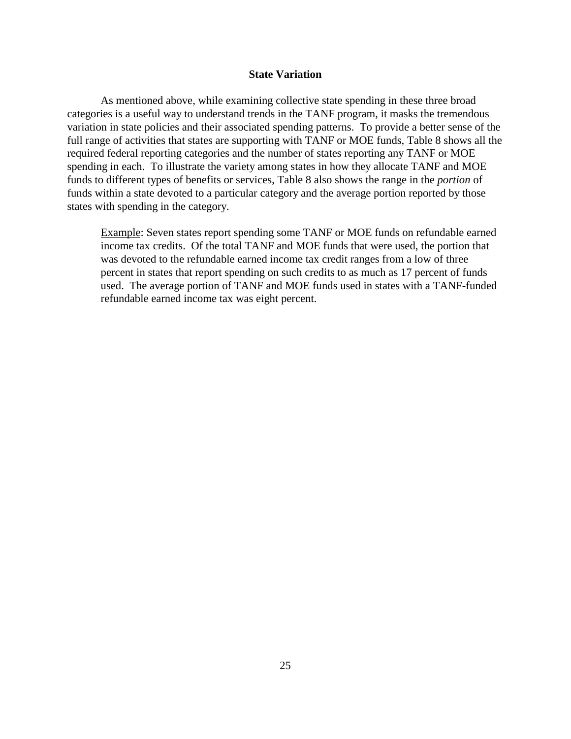## **State Variation**

As mentioned above, while examining collective state spending in these three broad categories is a useful way to understand trends in the TANF program, it masks the tremendous variation in state policies and their associated spending patterns. To provide a better sense of the full range of activities that states are supporting with TANF or MOE funds, Table 8 shows all the required federal reporting categories and the number of states reporting any TANF or MOE spending in each. To illustrate the variety among states in how they allocate TANF and MOE funds to different types of benefits or services, Table 8 also shows the range in the *portion* of funds within a state devoted to a particular category and the average portion reported by those states with spending in the category.

Example: Seven states report spending some TANF or MOE funds on refundable earned income tax credits. Of the total TANF and MOE funds that were used, the portion that was devoted to the refundable earned income tax credit ranges from a low of three percent in states that report spending on such credits to as much as 17 percent of funds used. The average portion of TANF and MOE funds used in states with a TANF-funded refundable earned income tax was eight percent.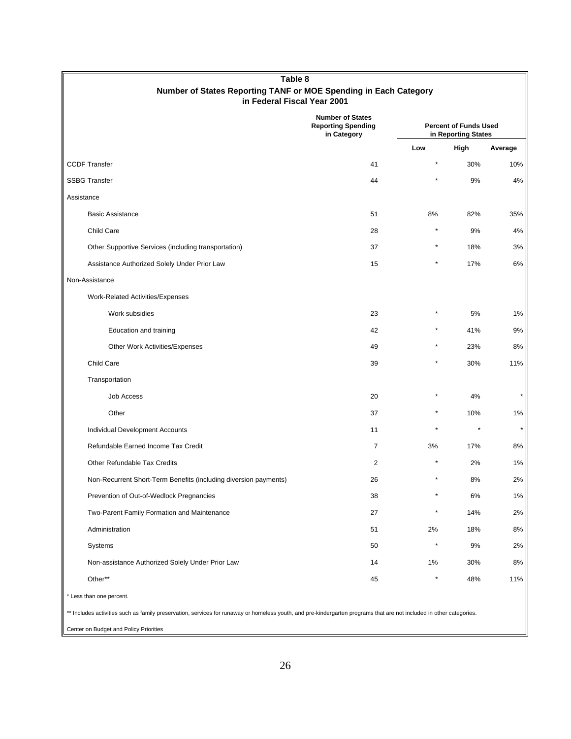| Table 8<br>Number of States Reporting TANF or MOE Spending in Each Category                                                                                          |                                                                     |                                                     |      |            |  |
|----------------------------------------------------------------------------------------------------------------------------------------------------------------------|---------------------------------------------------------------------|-----------------------------------------------------|------|------------|--|
| in Federal Fiscal Year 2001                                                                                                                                          |                                                                     |                                                     |      |            |  |
|                                                                                                                                                                      | <b>Number of States</b><br><b>Reporting Spending</b><br>in Category | <b>Percent of Funds Used</b><br>in Reporting States |      |            |  |
|                                                                                                                                                                      |                                                                     | Low                                                 | High | Average    |  |
| <b>CCDF Transfer</b>                                                                                                                                                 | 41                                                                  | $\star$                                             | 30%  | 10%        |  |
| <b>SSBG Transfer</b>                                                                                                                                                 | 44                                                                  |                                                     | 9%   | 4%         |  |
| Assistance                                                                                                                                                           |                                                                     |                                                     |      |            |  |
| <b>Basic Assistance</b>                                                                                                                                              | 51                                                                  | 8%                                                  | 82%  | 35%        |  |
| Child Care                                                                                                                                                           | 28                                                                  |                                                     | 9%   | 4%         |  |
| Other Supportive Services (including transportation)                                                                                                                 | 37                                                                  |                                                     | 18%  | 3%         |  |
| Assistance Authorized Solely Under Prior Law                                                                                                                         | 15                                                                  |                                                     | 17%  | 6%         |  |
| Non-Assistance                                                                                                                                                       |                                                                     |                                                     |      |            |  |
| Work-Related Activities/Expenses                                                                                                                                     |                                                                     |                                                     |      |            |  |
| Work subsidies                                                                                                                                                       | 23                                                                  |                                                     | 5%   | $1\%$      |  |
| Education and training                                                                                                                                               | 42                                                                  |                                                     | 41%  | 9%         |  |
| Other Work Activities/Expenses                                                                                                                                       | 49                                                                  |                                                     | 23%  | 8%         |  |
| Child Care                                                                                                                                                           | 39                                                                  |                                                     | 30%  | 11%        |  |
| Transportation                                                                                                                                                       |                                                                     |                                                     |      |            |  |
| <b>Job Access</b>                                                                                                                                                    | 20                                                                  |                                                     | 4%   |            |  |
| Other                                                                                                                                                                | 37                                                                  |                                                     | 10%  | $1\%$      |  |
| Individual Development Accounts                                                                                                                                      | 11                                                                  |                                                     |      | $^{\star}$ |  |
| Refundable Earned Income Tax Credit                                                                                                                                  | $\overline{7}$                                                      | 3%                                                  | 17%  | 8%         |  |
| Other Refundable Tax Credits                                                                                                                                         | 2                                                                   |                                                     | 2%   | 1%         |  |
| Non-Recurrent Short-Term Benefits (including diversion payments)                                                                                                     | 26                                                                  |                                                     | 8%   | 2%         |  |
| Prevention of Out-of-Wedlock Pregnancies                                                                                                                             | 38                                                                  |                                                     | 6%   | $1\%$      |  |
| Two-Parent Family Formation and Maintenance                                                                                                                          | 27                                                                  |                                                     | 14%  | 2%         |  |
| Administration                                                                                                                                                       | 51                                                                  | 2%                                                  | 18%  | 8%         |  |
| Systems                                                                                                                                                              | 50                                                                  |                                                     | 9%   | 2%         |  |
| Non-assistance Authorized Solely Under Prior Law                                                                                                                     | 14                                                                  | $1\%$                                               | 30%  | 8%         |  |
| Other**                                                                                                                                                              | 45                                                                  |                                                     | 48%  | 11%        |  |
| * Less than one percent.                                                                                                                                             |                                                                     |                                                     |      |            |  |
| ** Includes activities such as family preservation, services for runaway or homeless youth, and pre-kindergarten programs that are not included in other categories. |                                                                     |                                                     |      |            |  |
| Center on Budget and Policy Priorities                                                                                                                               |                                                                     |                                                     |      |            |  |

26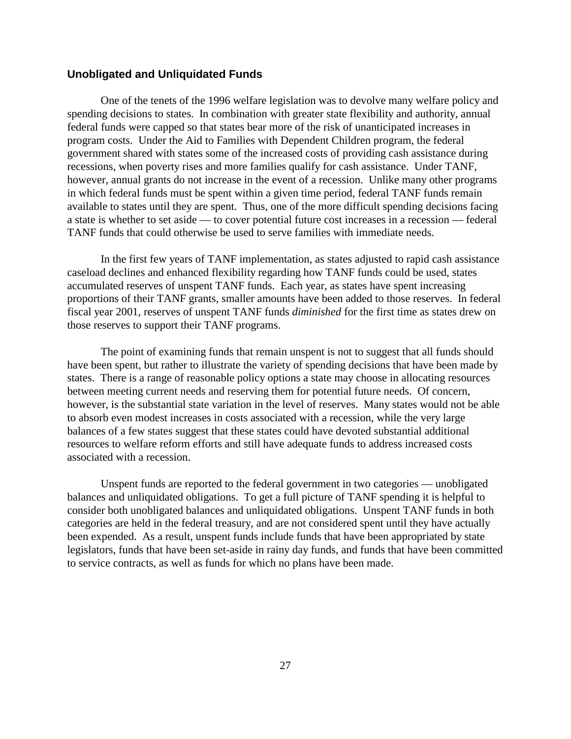## **Unobligated and Unliquidated Funds**

One of the tenets of the 1996 welfare legislation was to devolve many welfare policy and spending decisions to states. In combination with greater state flexibility and authority, annual federal funds were capped so that states bear more of the risk of unanticipated increases in program costs. Under the Aid to Families with Dependent Children program, the federal government shared with states some of the increased costs of providing cash assistance during recessions, when poverty rises and more families qualify for cash assistance. Under TANF, however, annual grants do not increase in the event of a recession. Unlike many other programs in which federal funds must be spent within a given time period, federal TANF funds remain available to states until they are spent. Thus, one of the more difficult spending decisions facing a state is whether to set aside — to cover potential future cost increases in a recession — federal TANF funds that could otherwise be used to serve families with immediate needs.

In the first few years of TANF implementation, as states adjusted to rapid cash assistance caseload declines and enhanced flexibility regarding how TANF funds could be used, states accumulated reserves of unspent TANF funds. Each year, as states have spent increasing proportions of their TANF grants, smaller amounts have been added to those reserves. In federal fiscal year 2001, reserves of unspent TANF funds *diminished* for the first time as states drew on those reserves to support their TANF programs.

The point of examining funds that remain unspent is not to suggest that all funds should have been spent, but rather to illustrate the variety of spending decisions that have been made by states. There is a range of reasonable policy options a state may choose in allocating resources between meeting current needs and reserving them for potential future needs. Of concern, however, is the substantial state variation in the level of reserves. Many states would not be able to absorb even modest increases in costs associated with a recession, while the very large balances of a few states suggest that these states could have devoted substantial additional resources to welfare reform efforts and still have adequate funds to address increased costs associated with a recession.

Unspent funds are reported to the federal government in two categories — unobligated balances and unliquidated obligations. To get a full picture of TANF spending it is helpful to consider both unobligated balances and unliquidated obligations. Unspent TANF funds in both categories are held in the federal treasury, and are not considered spent until they have actually been expended. As a result, unspent funds include funds that have been appropriated by state legislators, funds that have been set-aside in rainy day funds, and funds that have been committed to service contracts, as well as funds for which no plans have been made.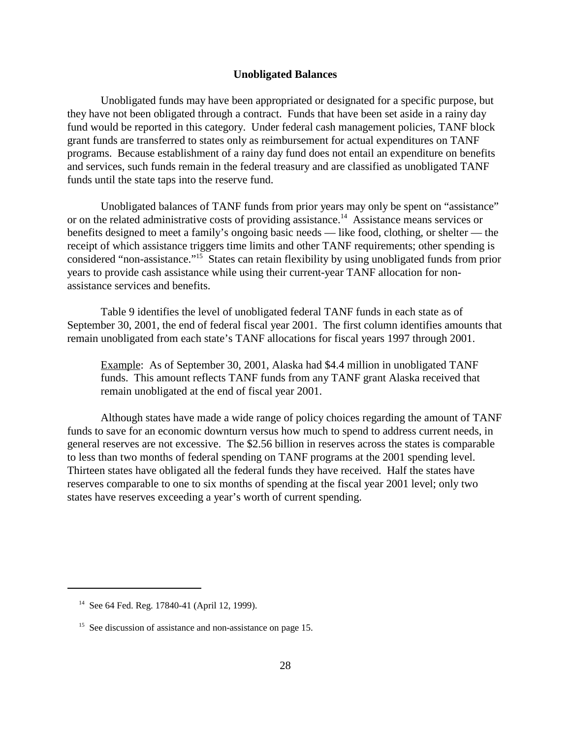### **Unobligated Balances**

Unobligated funds may have been appropriated or designated for a specific purpose, but they have not been obligated through a contract. Funds that have been set aside in a rainy day fund would be reported in this category. Under federal cash management policies, TANF block grant funds are transferred to states only as reimbursement for actual expenditures on TANF programs. Because establishment of a rainy day fund does not entail an expenditure on benefits and services, such funds remain in the federal treasury and are classified as unobligated TANF funds until the state taps into the reserve fund.

Unobligated balances of TANF funds from prior years may only be spent on "assistance" or on the related administrative costs of providing assistance.<sup>14</sup> Assistance means services or benefits designed to meet a family's ongoing basic needs — like food, clothing, or shelter — the receipt of which assistance triggers time limits and other TANF requirements; other spending is considered "non-assistance."15 States can retain flexibility by using unobligated funds from prior years to provide cash assistance while using their current-year TANF allocation for nonassistance services and benefits.

Table 9 identifies the level of unobligated federal TANF funds in each state as of September 30, 2001, the end of federal fiscal year 2001. The first column identifies amounts that remain unobligated from each state's TANF allocations for fiscal years 1997 through 2001.

Example: As of September 30, 2001, Alaska had \$4.4 million in unobligated TANF funds. This amount reflects TANF funds from any TANF grant Alaska received that remain unobligated at the end of fiscal year 2001.

Although states have made a wide range of policy choices regarding the amount of TANF funds to save for an economic downturn versus how much to spend to address current needs, in general reserves are not excessive. The \$2.56 billion in reserves across the states is comparable to less than two months of federal spending on TANF programs at the 2001 spending level. Thirteen states have obligated all the federal funds they have received. Half the states have reserves comparable to one to six months of spending at the fiscal year 2001 level; only two states have reserves exceeding a year's worth of current spending.

 <sup>14</sup> See 64 Fed. Reg. 17840-41 (April 12, 1999).

<sup>&</sup>lt;sup>15</sup> See discussion of assistance and non-assistance on page 15.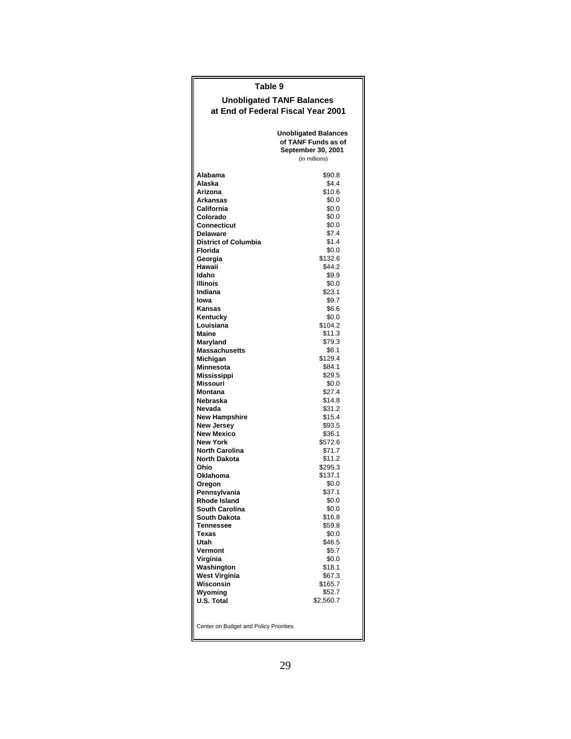| Table 9                                |                                                                                           |  |  |  |  |
|----------------------------------------|-------------------------------------------------------------------------------------------|--|--|--|--|
| <b>Unobligated TANF Balances</b>       |                                                                                           |  |  |  |  |
| at End of Federal Fiscal Year 2001     |                                                                                           |  |  |  |  |
|                                        |                                                                                           |  |  |  |  |
|                                        | <b>Unobligated Balances</b><br>of TANF Funds as of<br>September 30, 2001<br>(in millions) |  |  |  |  |
| Alabama                                | \$90.8                                                                                    |  |  |  |  |
| Alaska                                 | \$4.4                                                                                     |  |  |  |  |
| Arizona                                | \$10.6                                                                                    |  |  |  |  |
| <b>Arkansas</b><br>California          | \$0.0<br>\$0.0                                                                            |  |  |  |  |
| Colorado                               | \$0.0                                                                                     |  |  |  |  |
| Connecticut                            | \$0.0                                                                                     |  |  |  |  |
| <b>Delaware</b>                        | \$7.4                                                                                     |  |  |  |  |
| <b>District of Columbia</b>            | \$1.4                                                                                     |  |  |  |  |
| Florida                                | \$0.0                                                                                     |  |  |  |  |
| Georgia<br>Hawaii                      | \$132.6<br>\$44.2                                                                         |  |  |  |  |
| Idaho                                  | \$9.9                                                                                     |  |  |  |  |
| Illinois                               | \$0.0                                                                                     |  |  |  |  |
| Indiana                                | \$23.1                                                                                    |  |  |  |  |
| lowa                                   | \$9.7                                                                                     |  |  |  |  |
| Kansas<br>Kentucky                     | \$6.6<br>\$0.0                                                                            |  |  |  |  |
| Louisiana                              | \$104.2                                                                                   |  |  |  |  |
| <b>Maine</b>                           | \$11.3                                                                                    |  |  |  |  |
| Maryland                               | \$79.3                                                                                    |  |  |  |  |
| <b>Massachusetts</b>                   | \$6.1                                                                                     |  |  |  |  |
| Michigan<br>Minnesota                  | \$129.4<br>\$84.1                                                                         |  |  |  |  |
| Mississippi                            | \$29.5                                                                                    |  |  |  |  |
| <b>Missouri</b>                        | \$0.0                                                                                     |  |  |  |  |
| Montana                                | \$27.4                                                                                    |  |  |  |  |
| Nebraska                               | \$14.8                                                                                    |  |  |  |  |
| Nevada<br><b>New Hampshire</b>         | \$31.2<br>\$15.4                                                                          |  |  |  |  |
| New Jersey                             | \$93.5                                                                                    |  |  |  |  |
| <b>New Mexico</b>                      | \$36.1                                                                                    |  |  |  |  |
| <b>New York</b>                        | \$572.6                                                                                   |  |  |  |  |
| <b>North Carolina</b>                  | \$71.7                                                                                    |  |  |  |  |
| <b>North Dakota</b>                    | \$11.2                                                                                    |  |  |  |  |
| Ohio<br>Oklahoma                       | \$295.3<br>\$137.1                                                                        |  |  |  |  |
| Oregon                                 | \$0.0                                                                                     |  |  |  |  |
| Pennsylvania                           | \$37.1                                                                                    |  |  |  |  |
| Rhode Island                           | \$0.0                                                                                     |  |  |  |  |
| South Carolina                         | \$0.0                                                                                     |  |  |  |  |
| <b>South Dakota</b><br>Tennessee       | \$16.8<br>\$59.8                                                                          |  |  |  |  |
| Texas                                  | \$0.0                                                                                     |  |  |  |  |
| Utah                                   | \$46.5                                                                                    |  |  |  |  |
| Vermont                                | \$5.7                                                                                     |  |  |  |  |
| Virginia                               | \$0.0                                                                                     |  |  |  |  |
| Washington<br>West Virginia            | \$18.1<br>\$67.3                                                                          |  |  |  |  |
| Wisconsin                              | \$165.7                                                                                   |  |  |  |  |
| Wyoming                                | \$52.7                                                                                    |  |  |  |  |
| U.S. Total                             | \$2,560.7                                                                                 |  |  |  |  |
|                                        |                                                                                           |  |  |  |  |
| Center on Budget and Policy Priorities |                                                                                           |  |  |  |  |
|                                        |                                                                                           |  |  |  |  |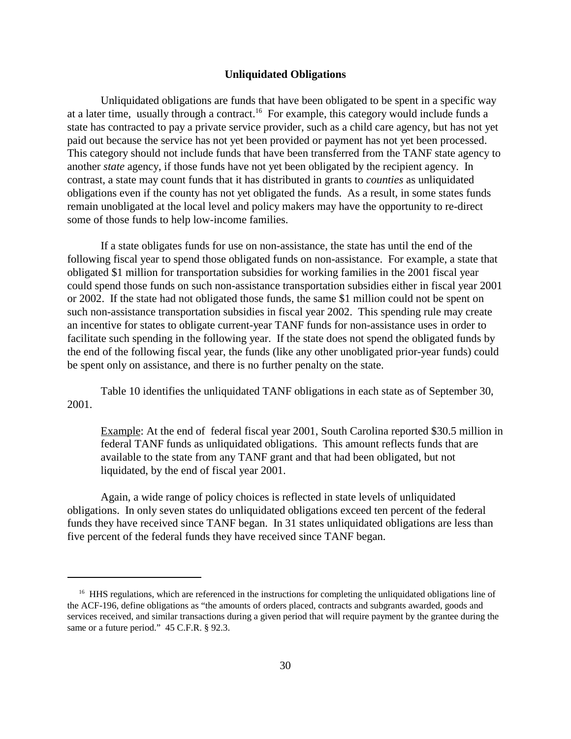### **Unliquidated Obligations**

Unliquidated obligations are funds that have been obligated to be spent in a specific way at a later time, usually through a contract.<sup>16</sup> For example, this category would include funds a state has contracted to pay a private service provider, such as a child care agency, but has not yet paid out because the service has not yet been provided or payment has not yet been processed. This category should not include funds that have been transferred from the TANF state agency to another *state* agency, if those funds have not yet been obligated by the recipient agency. In contrast, a state may count funds that it has distributed in grants to *counties* as unliquidated obligations even if the county has not yet obligated the funds. As a result, in some states funds remain unobligated at the local level and policy makers may have the opportunity to re-direct some of those funds to help low-income families.

If a state obligates funds for use on non-assistance, the state has until the end of the following fiscal year to spend those obligated funds on non-assistance. For example, a state that obligated \$1 million for transportation subsidies for working families in the 2001 fiscal year could spend those funds on such non-assistance transportation subsidies either in fiscal year 2001 or 2002. If the state had not obligated those funds, the same \$1 million could not be spent on such non-assistance transportation subsidies in fiscal year 2002. This spending rule may create an incentive for states to obligate current-year TANF funds for non-assistance uses in order to facilitate such spending in the following year. If the state does not spend the obligated funds by the end of the following fiscal year, the funds (like any other unobligated prior-year funds) could be spent only on assistance, and there is no further penalty on the state.

Table 10 identifies the unliquidated TANF obligations in each state as of September 30, 2001.

Example: At the end of federal fiscal year 2001, South Carolina reported \$30.5 million in federal TANF funds as unliquidated obligations. This amount reflects funds that are available to the state from any TANF grant and that had been obligated, but not liquidated, by the end of fiscal year 2001.

Again, a wide range of policy choices is reflected in state levels of unliquidated obligations. In only seven states do unliquidated obligations exceed ten percent of the federal funds they have received since TANF began. In 31 states unliquidated obligations are less than five percent of the federal funds they have received since TANF began.

<sup>&</sup>lt;sup>16</sup> HHS regulations, which are referenced in the instructions for completing the unliquidated obligations line of the ACF-196, define obligations as "the amounts of orders placed, contracts and subgrants awarded, goods and services received, and similar transactions during a given period that will require payment by the grantee during the same or a future period." 45 C.F.R. § 92.3.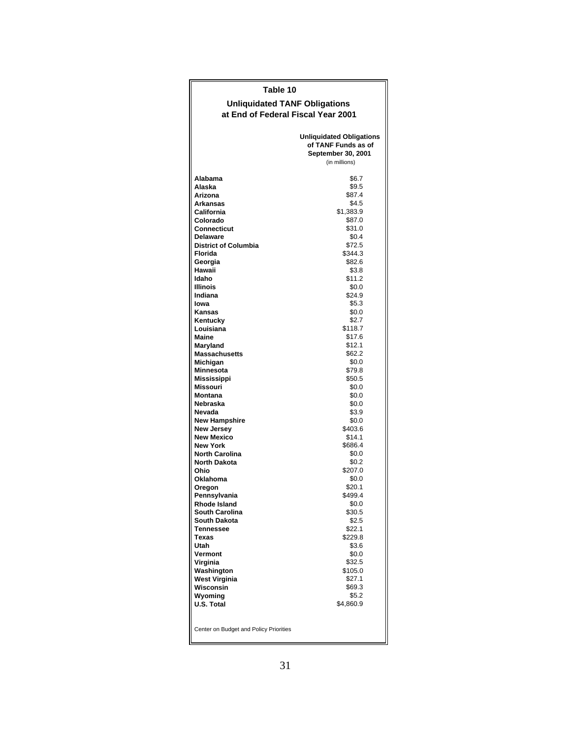# **Table 10**

#### **at End of Federal Fiscal Year 2001 Unliquidated TANF Obligations**

|                                        | <b>Unliquidated Obligations</b><br>of TANF Funds as of<br>September 30, 2001<br>(in millions) |
|----------------------------------------|-----------------------------------------------------------------------------------------------|
|                                        |                                                                                               |
| Alabama<br>Alaska                      | \$6.7<br>\$9.5                                                                                |
| Arizona                                | \$87.4                                                                                        |
| Arkansas                               | \$4.5                                                                                         |
| California                             | \$1,383.9                                                                                     |
| Colorado                               | \$87.0                                                                                        |
| Connecticut                            | \$31.0                                                                                        |
| <b>Delaware</b>                        | \$0.4                                                                                         |
| <b>District of Columbia</b>            | \$72.5                                                                                        |
| Florida                                | \$344.3                                                                                       |
| Georgia                                | \$82.6                                                                                        |
| Hawaii                                 | \$3.8                                                                                         |
| Idaho                                  | \$11.2                                                                                        |
| Illinois                               | \$0.0                                                                                         |
| Indiana                                | \$24.9                                                                                        |
| lowa                                   | \$5.3                                                                                         |
| Kansas                                 | \$0.0                                                                                         |
| Kentucky                               | \$2.7                                                                                         |
| Louisiana                              | \$118.7                                                                                       |
| Maine                                  | \$17.6                                                                                        |
| Maryland                               | \$12.1                                                                                        |
| <b>Massachusetts</b>                   | \$62.2                                                                                        |
| Michigan                               | \$0.0                                                                                         |
| Minnesota                              | \$79.8                                                                                        |
| <b>Mississippi</b>                     | \$50.5                                                                                        |
| Missouri                               | \$0.0                                                                                         |
| <b>Montana</b><br>Nebraska             | \$0.0<br>\$0.0                                                                                |
| Nevada                                 | \$3.9                                                                                         |
| <b>New Hampshire</b>                   | \$0.0                                                                                         |
| <b>New Jersey</b>                      | \$403.6                                                                                       |
| <b>New Mexico</b>                      | \$14.1                                                                                        |
| <b>New York</b>                        | \$686.4                                                                                       |
| <b>North Carolina</b>                  | \$0.0                                                                                         |
| <b>North Dakota</b>                    | \$0.2                                                                                         |
| Ohio                                   | \$207.0                                                                                       |
| Oklahoma                               | \$0.0                                                                                         |
| Oregon                                 | \$20.1                                                                                        |
| Pennsylvania                           | \$499.4                                                                                       |
| Rhode Island                           | \$0.0                                                                                         |
| South Carolina                         | \$30.5                                                                                        |
| <b>South Dakota</b>                    | \$2.5                                                                                         |
| Tennessee                              | \$22.1                                                                                        |
| Texas                                  | \$229.8                                                                                       |
| Utah                                   | \$3.6                                                                                         |
| Vermont                                | \$0.0<br>\$32.5                                                                               |
| Virginia<br>Washington                 | \$105.0                                                                                       |
| <b>West Virginia</b>                   | \$27.1                                                                                        |
| Wisconsin                              | \$69.3                                                                                        |
| Wyoming                                | \$5.2                                                                                         |
| U.S. Total                             | \$4,860.9                                                                                     |
|                                        |                                                                                               |
| Center on Budget and Policy Priorities |                                                                                               |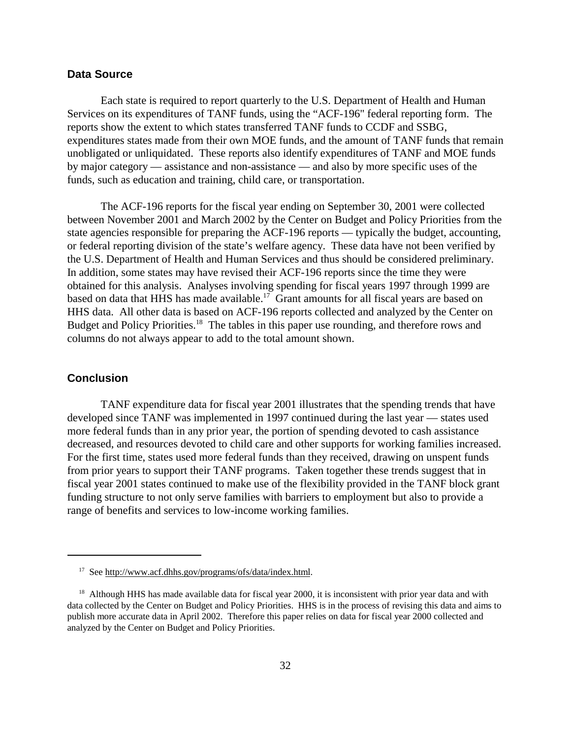## **Data Source**

Each state is required to report quarterly to the U.S. Department of Health and Human Services on its expenditures of TANF funds, using the "ACF-196" federal reporting form. The reports show the extent to which states transferred TANF funds to CCDF and SSBG, expenditures states made from their own MOE funds, and the amount of TANF funds that remain unobligated or unliquidated. These reports also identify expenditures of TANF and MOE funds by major category — assistance and non-assistance — and also by more specific uses of the funds, such as education and training, child care, or transportation.

The ACF-196 reports for the fiscal year ending on September 30, 2001 were collected between November 2001 and March 2002 by the Center on Budget and Policy Priorities from the state agencies responsible for preparing the ACF-196 reports — typically the budget, accounting, or federal reporting division of the state's welfare agency. These data have not been verified by the U.S. Department of Health and Human Services and thus should be considered preliminary. In addition, some states may have revised their ACF-196 reports since the time they were obtained for this analysis. Analyses involving spending for fiscal years 1997 through 1999 are based on data that HHS has made available.<sup>17</sup> Grant amounts for all fiscal years are based on HHS data. All other data is based on ACF-196 reports collected and analyzed by the Center on Budget and Policy Priorities.<sup>18</sup> The tables in this paper use rounding, and therefore rows and columns do not always appear to add to the total amount shown.

## **Conclusion**

TANF expenditure data for fiscal year 2001 illustrates that the spending trends that have developed since TANF was implemented in 1997 continued during the last year — states used more federal funds than in any prior year, the portion of spending devoted to cash assistance decreased, and resources devoted to child care and other supports for working families increased. For the first time, states used more federal funds than they received, drawing on unspent funds from prior years to support their TANF programs. Taken together these trends suggest that in fiscal year 2001 states continued to make use of the flexibility provided in the TANF block grant funding structure to not only serve families with barriers to employment but also to provide a range of benefits and services to low-income working families.

 <sup>17</sup> See http://www.acf.dhhs.gov/programs/ofs/data/index.html.

<sup>&</sup>lt;sup>18</sup> Although HHS has made available data for fiscal year 2000, it is inconsistent with prior year data and with data collected by the Center on Budget and Policy Priorities. HHS is in the process of revising this data and aims to publish more accurate data in April 2002. Therefore this paper relies on data for fiscal year 2000 collected and analyzed by the Center on Budget and Policy Priorities.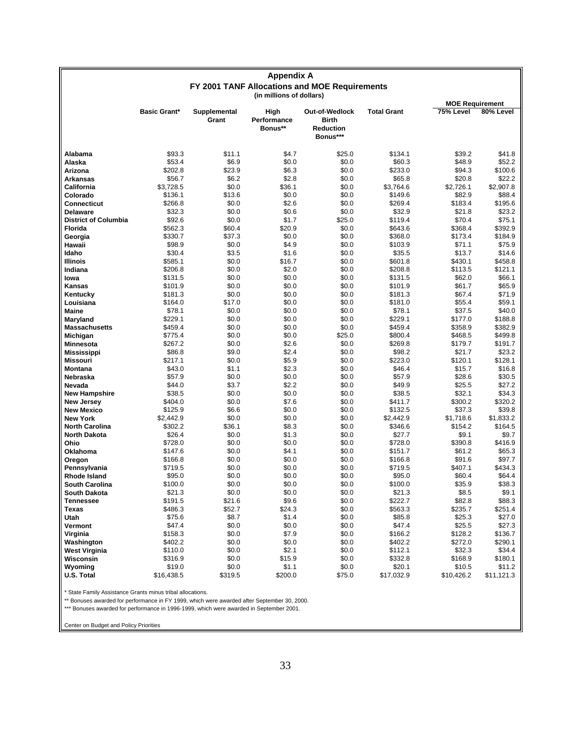| <b>Appendix A</b><br>FY 2001 TANF Allocations and MOE Requirements |                     |                       |                                |                                                                |                    |                  |                      |
|--------------------------------------------------------------------|---------------------|-----------------------|--------------------------------|----------------------------------------------------------------|--------------------|------------------|----------------------|
|                                                                    |                     |                       |                                |                                                                |                    |                  |                      |
| (in millions of dollars)<br><b>MOE Requirement</b>                 |                     |                       |                                |                                                                |                    |                  |                      |
|                                                                    | <b>Basic Grant*</b> | Supplemental<br>Grant | High<br>Performance<br>Bonus** | Out-of-Wedlock<br><b>Birth</b><br><b>Reduction</b><br>Bonus*** | <b>Total Grant</b> | 75% Level        | 80% Level            |
| Alabama                                                            | \$93.3              | \$11.1                | \$4.7                          | \$25.0                                                         | \$134.1            | \$39.2           | \$41.8               |
| Alaska                                                             | \$53.4              | \$6.9                 | \$0.0                          | \$0.0                                                          | \$60.3             | \$48.9           | \$52.2               |
| Arizona                                                            | \$202.8             | \$23.9                | \$6.3                          | \$0.0                                                          | \$233.0            | \$94.3           | \$100.6              |
| Arkansas                                                           | \$56.7              | \$6.2                 | \$2.8                          | \$0.0                                                          | \$65.8             | \$20.8           | \$22.2               |
| California                                                         | \$3,728.5           | \$0.0                 | \$36.1                         | \$0.0                                                          | \$3,764.6          | \$2,726.1        | \$2,907.8            |
| Colorado                                                           | \$136.1             | \$13.6                | \$0.0                          | \$0.0                                                          | \$149.6            | \$82.9           | \$88.4               |
| Connecticut                                                        | \$266.8             | \$0.0                 | \$2.6                          | \$0.0                                                          | \$269.4            | \$183.4          | \$195.6              |
| <b>Delaware</b>                                                    | \$32.3              | \$0.0                 | \$0.6                          | \$0.0                                                          | \$32.9             | \$21.8           | \$23.2               |
| <b>District of Columbia</b>                                        | \$92.6              | \$0.0                 | \$1.7                          | \$25.0                                                         | \$119.4            | \$70.4           | \$75.1               |
| <b>Florida</b>                                                     | \$562.3             | \$60.4                | \$20.9                         | \$0.0                                                          | \$643.6            | \$368.4          | \$392.9              |
| Georgia                                                            | \$330.7             | \$37.3                | \$0.0                          | \$0.0                                                          | \$368.0            | \$173.4          | \$184.9              |
| Hawaii                                                             | \$98.9              | \$0.0                 | \$4.9                          | \$0.0                                                          | \$103.9            | \$71.1           | \$75.9               |
| Idaho                                                              | \$30.4              | \$3.5                 | \$1.6                          | \$0.0                                                          | \$35.5             | \$13.7           | \$14.6               |
| Illinois                                                           | \$585.1             | \$0.0                 | \$16.7                         | \$0.0                                                          | \$601.8            | \$430.1          | \$458.8              |
| Indiana                                                            | \$206.8             | \$0.0                 | \$2.0                          | \$0.0                                                          | \$208.8            | \$113.5          | \$121.1              |
| lowa                                                               | \$131.5             | \$0.0                 | \$0.0                          | \$0.0                                                          | \$131.5            | \$62.0           | \$66.1               |
| Kansas                                                             | \$101.9             | \$0.0                 | \$0.0                          | \$0.0                                                          | \$101.9            | \$61.7           | \$65.9               |
| Kentucky                                                           | \$181.3             | \$0.0                 | \$0.0                          | \$0.0                                                          | \$181.3            | \$67.4           | \$71.9               |
| Louisiana                                                          | \$164.0             | \$17.0                | \$0.0                          | \$0.0                                                          | \$181.0            | \$55.4           | \$59.1               |
| Maine                                                              | \$78.1              | \$0.0                 | \$0.0                          | \$0.0                                                          | \$78.1             | \$37.5           | \$40.0               |
| Maryland                                                           | \$229.1             | \$0.0                 | \$0.0                          | \$0.0                                                          | \$229.1            | \$177.0          | \$188.8              |
| <b>Massachusetts</b>                                               | \$459.4             | \$0.0                 | \$0.0                          | \$0.0                                                          | \$459.4            | \$358.9          | \$382.9              |
| Michigan                                                           | \$775.4             | \$0.0                 | \$0.0                          | \$25.0                                                         | \$800.4            | \$468.5          | \$499.8              |
| Minnesota                                                          | \$267.2             | \$0.0                 | \$2.6                          | \$0.0                                                          | \$269.8            | \$179.7          | \$191.7              |
| Mississippi                                                        | \$86.8              | \$9.0                 | \$2.4                          | \$0.0                                                          | \$98.2             | \$21.7           | \$23.2               |
| <b>Missouri</b>                                                    | \$217.1             | \$0.0                 | \$5.9                          | \$0.0                                                          | \$223.0            | \$120.1          | \$128.1              |
| <b>Montana</b>                                                     | \$43.0              | \$1.1                 | \$2.3                          | \$0.0                                                          | \$46.4             | \$15.7           | \$16.8               |
| Nebraska                                                           | \$57.9              | \$0.0                 | \$0.0                          | \$0.0                                                          | \$57.9             | \$28.6           | \$30.5               |
| Nevada                                                             | \$44.0              | \$3.7                 | \$2.2                          | \$0.0                                                          | \$49.9             | \$25.5           | \$27.2               |
| <b>New Hampshire</b>                                               | \$38.5              | \$0.0                 | \$0.0                          | \$0.0                                                          | \$38.5             | \$32.1           | \$34.3               |
| <b>New Jersey</b>                                                  | \$404.0             | \$0.0                 | \$7.6                          | \$0.0<br>\$0.0                                                 | \$411.7            | \$300.2          | \$320.2<br>\$39.8    |
| <b>New Mexico</b>                                                  | \$125.9             | \$6.6                 | \$0.0                          |                                                                | \$132.5            | \$37.3           |                      |
| <b>New York</b><br><b>North Carolina</b>                           | \$2,442.9           | \$0.0                 | \$0.0                          | \$0.0                                                          | \$2,442.9          | \$1,718.6        | \$1,833.2<br>\$164.5 |
| <b>North Dakota</b>                                                | \$302.2<br>\$26.4   | \$36.1<br>\$0.0       | \$8.3<br>\$1.3                 | \$0.0<br>\$0.0                                                 | \$346.6<br>\$27.7  | \$154.2<br>\$9.1 | \$9.7                |
| Ohio                                                               | \$728.0             | \$0.0                 | \$0.0                          | \$0.0                                                          | \$728.0            | \$390.8          | \$416.9              |
| Oklahoma                                                           | \$147.6             | \$0.0                 | \$4.1                          | \$0.0                                                          | \$151.7            | \$61.2           | \$65.3               |
| Oregon                                                             | \$166.8             | \$0.0                 | \$0.0                          | \$0.0                                                          | \$166.8            | \$91.6           | \$97.7               |
| Pennsylvania                                                       | \$719.5             | \$0.0                 | \$0.0                          | \$0.0                                                          | \$719.5            | \$407.1          | \$434.3              |
| Rhode Island                                                       | \$95.0              | \$0.0                 | \$0.0                          | \$0.0                                                          | \$95.0             | \$60.4           | \$64.4               |
| South Carolina                                                     | \$100.0             | \$0.0                 | \$0.0                          | \$0.0                                                          | \$100.0            | \$35.9           | \$38.3               |
| <b>South Dakota</b>                                                | \$21.3              | \$0.0                 | \$0.0                          | \$0.0                                                          | \$21.3             | \$8.5            | \$9.1                |
| <b>Tennessee</b>                                                   | \$191.5             | \$21.6                | \$9.6                          | \$0.0                                                          | \$222.7            | \$82.8           | \$88.3               |
| Texas                                                              | \$486.3             | \$52.7                | \$24.3                         | \$0.0                                                          | \$563.3            | \$235.7          | \$251.4              |
| Utah                                                               | \$75.6              | \$8.7                 | \$1.4                          | \$0.0                                                          | \$85.8             | \$25.3           | \$27.0               |
| Vermont                                                            | \$47.4              | \$0.0                 | \$0.0                          | \$0.0                                                          | \$47.4             | \$25.5           | \$27.3               |
| Virginia                                                           | \$158.3             | \$0.0                 | \$7.9                          | \$0.0                                                          | \$166.2            | \$128.2          | \$136.7              |
| Washington                                                         | \$402.2             | \$0.0                 | \$0.0                          | \$0.0                                                          | \$402.2            | \$272.0          | \$290.1              |
| West Virginia                                                      | \$110.0             | \$0.0                 | \$2.1                          | \$0.0                                                          | \$112.1            | \$32.3           | \$34.4               |
| Wisconsin                                                          | \$316.9             | \$0.0                 | \$15.9                         | \$0.0                                                          | \$332.8            | \$168.9          | \$180.1              |
| Wyoming                                                            | \$19.0              | \$0.0                 | \$1.1                          | \$0.0                                                          | \$20.1             | \$10.5           | \$11.2               |
| U.S. Total                                                         | \$16,438.5          | \$319.5               | \$200.0                        | \$75.0                                                         | \$17,032.9         | \$10,426.2       | \$11,121.3           |

\*\* Bonuses awarded for performance in FY 1999, which were awarded after September 30, 2000.

\*\*\* Bonuses awarded for performance in 1996-1999, which were awarded in September 2001.